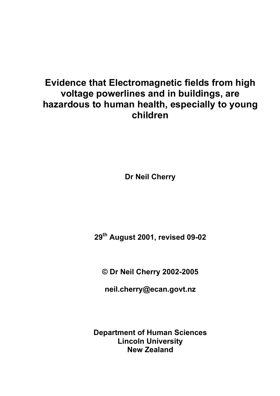# **Evidence that Electromagnetic fields from high voltage powerlines and in buildings, are hazardous to human health, especially to young children**

**Dr Neil Cherry** 

**29th August 2001, revised 09-02** 

**© Dr Neil Cherry 2002-2005** 

**neil.cherry@ecan.govt.nz** 

**Department of Human Sciences Lincoln University New Zealand**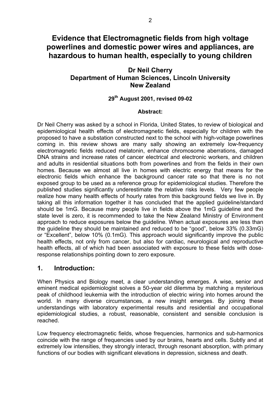# **Evidence that Electromagnetic fields from high voltage powerlines and domestic power wires and appliances, are hazardous to human health, especially to young children**

### **Dr Neil Cherry Department of Human Sciences, Lincoln University New Zealand**

#### **29th August 2001, revised 09-02**

#### **Abstract:**

Dr Neil Cherry was asked by a school in Florida, United States, to review of biological and epidemiological health effects of electromagnetic fields, especially for children with the proposed to have a substation constructed next to the school with high-voltage powerlines coming in. this review shows are many sally showing an extremely low-frequency electromagnetic fields reduced melatonin, enhance chromosome aberrations, damaged DNA strains and increase rates of cancer electrical and electronic workers, and children and adults in residential situations both from powerlines and from the fields in their own homes. Because we almost all live in homes with electric energy that means for the electronic fields which enhance the background cancer rate so that there is no not exposed group to be used as a reference group for epidemiological studies. Therefore the published studies significantly underestimate the relative risks levels. Very few people realize how many health effects of hourly rates from this background fields we live in. By taking all this information together it has concluded that the applied guideline/standard should be 1mG. Because many people live in fields above the 1mG guideline and the state level is zero, it is recommended to take the New Zealand Ministry of Environment approach to reduce exposures below the guideline. When actual exposures are less than the guideline they should be maintained and reduced to be "good", below 33% (0.33mG) or "Excellent", below 10% (0.1mG). This approach would significantly improve the public health effects, not only from cancer, but also for cardiac, neurological and reproductive health effects, all of which had been associated with exposure to these fields with doseresponse relationships pointing down to zero exposure.

### **1. Introduction:**

When Physics and Biology meet, a clear understanding emerges. A wise, senior and eminent medical epidemiologist solves a 50-year old dilemma by matching a mysterious peak of childhood leukemia with the introduction of electric wiring into homes around the world. In many diverse circumstances, a new insight emerges. By joining these understandings with laboratory experimental results and residential and occupational epidemiological studies, a robust, reasonable, consistent and sensible conclusion is reached.

Low frequency electromagnetic fields, whose frequencies, harmonics and sub-harmonics coincide with the range of frequencies used by our brains, hearts and cells. Subtly and at extremely low intensities, they strongly interact, through resonant absorption, with primary functions of our bodies with significant elevations in depression, sickness and death.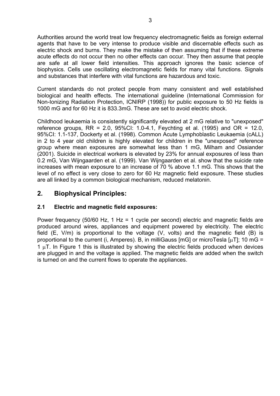Authorities around the world treat low frequency electromagnetic fields as foreign external agents that have to be very intense to produce visible and discernable effects such as electric shock and burns. They make the mistake of then assuming that if these extreme acute effects do not occur then no other effects can occur. They then assume that people are safe at all lower field intensities. This approach ignores the basic science of biophysics. Cells use oscillating electromagnetic fields for many vital functions. Signals and substances that interfere with vital functions are hazardous and toxic.

Current standards do not protect people from many consistent and well established biological and health effects. The international guideline (International Commission for Non-Ionizing Radiation Protection, ICNIRP (1998)) for public exposure to 50 Hz fields is 1000 mG and for 60 Hz it is 833.3mG. These are set to avoid electric shock.

Childhood leukaemia is consistently significantly elevated at 2 mG relative to "unexposed" reference groups,  $RR = 2.0$ ,  $95\%$ CI: 1.0-4.1, Feychting et al. (1995) and  $OR = 12.0$ , 95%CI: 1.1-137, Dockerty et al. (1998). Common Acute Lymphoblastic Leukaemia (cALL) in 2 to 4 year old children is highly elevated for children in the "unexposed" reference group where mean exposures are somewhat less than 1 mG, Milham and Ossiander (2001). Suicide in electrical workers is elevated by 23% for annual exposures of less than 0.2 mG, Van Wijngaarden et al. (1999). Van Wijngaarden et al. show that the suicide rate increases with mean exposure to an increase of 70 % above 1.1 mG. This shows that the level of no effect is very close to zero for 60 Hz magnetic field exposure. These studies are all linked by a common biological mechanism, reduced melatonin.

### **2. Biophysical Principles:**

#### **2.1 Electric and magnetic field exposures:**

Power frequency (50/60 Hz, 1 Hz = 1 cycle per second) electric and magnetic fields are produced around wires, appliances and equipment powered by electricity. The electric field (E, V/m) is proportional to the voltage (V, volts) and the magnetic field (B) is proportional to the current (i, Amperes). B, in milliGauss [mG] or microTesla  $\lceil \mu \text{T} \rceil$ ; 10 mG = 1  $\mu$ T. In Figure 1 this is illustrated by showing the electric fields produced when devices are plugged in and the voltage is applied. The magnetic fields are added when the switch is turned on and the current flows to operate the appliances.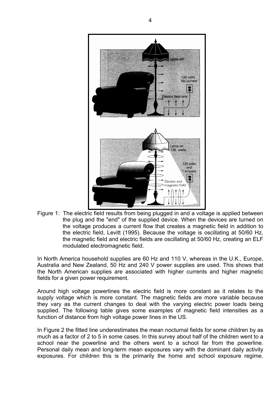

Figure 1: The electric field results from being plugged in and a voltage is applied between the plug and the "end" of the supplied device. When the devices are turned on the voltage produces a current flow that creates a magnetic field in addition to the electric field, Levitt (1995). Because the voltage is oscillating at 50/60 Hz, the magnetic field and electric fields are oscillating at 50/60 Hz, creating an ELF modulated electromagnetic field.

In North America household supplies are 60 Hz and 110 V, whereas in the U.K., Europe, Australia and New Zealand, 50 Hz and 240 V power supplies are used. This shows that the North American supplies are associated with higher currents and higher magnetic fields for a given power requirement.

Around high voltage powerlines the electric field is more constant as it relates to the supply voltage which is more constant. The magnetic fields are more variable because they vary as the current changes to deal with the varying electric power loads being supplied. The following table gives some examples of magnetic field intensities as a function of distance from high voltage power lines in the US.

In Figure 2 the fitted line underestimates the mean nocturnal fields for some children by as much as a factor of 2 to 5 in some cases. In this survey about half of the children went to a school near the powerline and the others went to a school far from the powerline. Personal daily mean and long-term mean exposures vary with the dominant daily activity exposures. For children this is the primarily the home and school exposure regime.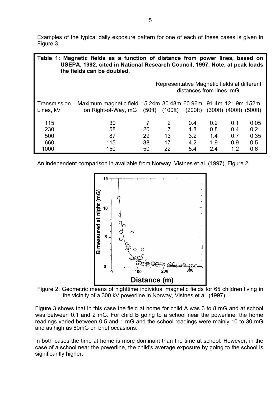Examples of the typical daily exposure pattern for one of each of these cases is given in Figure 3.

| Table 1: Magnetic fields as a function of distance from power lines, based on<br>USEPA, 1992, cited in National Research Council, 1997. Note, at peak loads<br>the fields can be doubled. |                                                                                                                                     |    |                |                                                                          |     |     |      |
|-------------------------------------------------------------------------------------------------------------------------------------------------------------------------------------------|-------------------------------------------------------------------------------------------------------------------------------------|----|----------------|--------------------------------------------------------------------------|-----|-----|------|
|                                                                                                                                                                                           |                                                                                                                                     |    |                | Representative Magnetic fields at different<br>distances from lines, mG. |     |     |      |
| Transmission<br>Lines, kV                                                                                                                                                                 | Maximum magnetic field 15.24m 30.48m 60.96m 91.4m 121.9m 152m<br>on Right-of-Way, mG (50ft) (100ft) (200ft) (300ft) (400ft) (500ft) |    |                |                                                                          |     |     |      |
| 115                                                                                                                                                                                       | 30                                                                                                                                  | 7  | 2              | 0.4                                                                      | 0.2 | 0.1 | 0.05 |
| 230                                                                                                                                                                                       | 58                                                                                                                                  | 20 | $\overline{7}$ | 1.8                                                                      | 0.8 | 0.4 | 0.2  |
| 500                                                                                                                                                                                       | 87                                                                                                                                  | 29 | 13             | 3.2                                                                      | 1.4 | 0.7 | 0.35 |
| 660                                                                                                                                                                                       | 115                                                                                                                                 | 38 | 17             | 4.2                                                                      | 1.9 | 0.9 | 0.5  |
| 1000                                                                                                                                                                                      | 150                                                                                                                                 | 50 | 22             | 5.4                                                                      | 2.4 | 1.2 | 0.6  |

An independent comparison in available from Norway, Vistnes et al. (1997), Figure 2.



Figure 2: Geometric means of nighttime individual magnetic fields for 65 children living in the vicinity of a 300 kV powerline in Norway, Vistnes et al. (1997).

Figure 3 shows that in this case the field at home for child A was 3 to 8 mG and at school was between 0.1 and 2 mG. For child B going to a school near the powerline, the home readings varied between 0.5 and 1 mG and the school readings were mainly 10 to 30 mG and as high as 80mG on brief occasions.

In both cases the time at home is more dominant than the time at school. However, in the case of a school near the powerline, the child's average exposure by going to the school is significantly higher.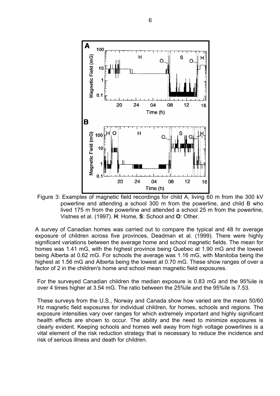

Figure 3: Examples of magnetic field recordings for child A, living 60 m from the 300 kV powerline and attending a school 300 m from the powerline, and child B who lived 175 m from the powerline and attended a school 25 m from the powerline, Vistnes et al. (1997). **H**: Home, **S**: School and **O**: Other.

A survey of Canadian homes was carried out to compare the typical and 48 hr average exposure of children across five provinces, Deadman et al. (1999). There were highly significant variations between the average home and school magnetic fields. The mean for homes was 1.41 mG, with the highest province being Quebec at 1.90 mG and the lowest being Alberta at 0.62 mG. For schools the average was 1.16 mG, with Manitoba being the highest at 1.56 mG and Alberta being the lowest at 0.70 mG. These show ranges of over a factor of 2 in the children's home and school mean magnetic field exposures.

For the surveyed Canadian children the median exposure is 0.83 mG and the 95%ile is over 4 times higher at 3.54 mG. The ratio between the 25%ile and the 95%ile is 7.53.

These surveys from the U.S., Norway and Canada show how varied are the mean 50/60 Hz magnetic field exposures for individual children, for homes, schools and regions. The exposure intensities vary over ranges for which extremely important and highly significant health effects are shown to occur. The ability and the need to minimize exposures is clearly evident. Keeping schools and homes well away from high voltage powerlines is a vital element of the risk reduction strategy that is necessary to reduce the incidence and risk of serious illness and death for children.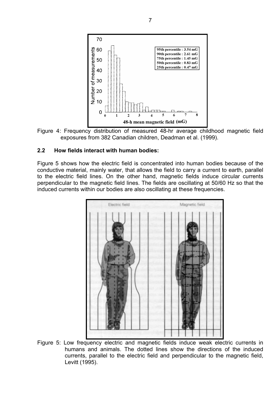

Figure 4: Frequency distribution of measured 48-hr average childhood magnetic field exposures from 382 Canadian children, Deadman et al. (1999).

#### **2.2 How fields interact with human bodies:**

Figure 5 shows how the electric field is concentrated into human bodies because of the conductive material, mainly water, that allows the field to carry a current to earth, parallel to the electric field lines. On the other hand, magnetic fields induce circular currents perpendicular to the magnetic field lines. The fields are oscillating at 50/60 Hz so that the induced currents within our bodies are also oscillating at these frequencies.



Figure 5: Low frequency electric and magnetic fields induce weak electric currents in humans and animals. The dotted lines show the directions of the induced currents, parallel to the electric field and perpendicular to the magnetic field, Levitt (1995).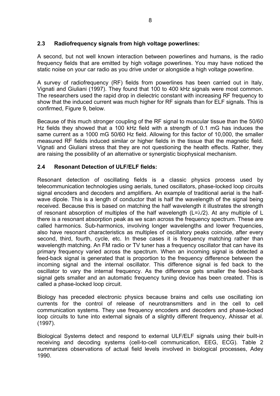#### **2.3 Radiofrequency signals from high voltage powerlines:**

A second, but not well known interaction between powerlines and humans, is the radio frequency fields that are emitted by high voltage powerlines. You may have noticed the static noise on your car radio as you drive under or alongside a high voltage powerline.

A survey of radiofrequency (RF) fields from powerlines has been carried out in Italy, Vignati and Giuliani (1997). They found that 100 to 400 kHz signals were most common. The researchers used the rapid drop in dielectric constant with increasing RF frequency to show that the induced current was much higher for RF signals than for ELF signals. This is confirmed, Figure 9, below.

Because of this much stronger coupling of the RF signal to muscular tissue than the 50/60 Hz fields they showed that a 100 kHz field with a strength of 0.1 mG has induces the same current as a 1000 mG 50/60 Hz field. Allowing for this factor of 10,000, the smaller measured RF fields induced similar or higher fields in the tissue that the magnetic field. Vignati and Giuliani stress that they are not questioning the health effects. Rather, they are raising the possibility of an alternative or synergistic biophysical mechanism.

### **2.4 Resonant Detection of ULF/ELF fields:**

Resonant detection of oscillating fields is a classic physics process used by telecommunication technologies using aerials, tuned oscillators, phase-locked loop circuits signal encoders and decoders and amplifiers. An example of traditional aerial is the halfwave dipole. This is a length of conductor that is half the wavelength of the signal being received. Because this is based on matching the half wavelength it illustrates the strength of resonant absorption of multiples of the half wavelength ( $L=\lambda/2$ ). At any multiple of L there is a resonant absorption peak as we scan across the frequency spectrum. These are called harmonics. Sub-harmonics, involving longer wavelengths and lower frequencies, also have resonant characteristics as multiples of oscillatory peaks coincide, after every second, third, fourth, cycle, etc. In these cases it is frequency matching rather than wavelength matching. An FM radio or TV tuner has a frequency oscillator that can have its primary frequency varied across the spectrum. When an incoming signal is detected a feed-back signal is generated that is proportion to the frequency difference between the incoming signal and the internal oscillator. This difference signal is fed back to the oscillator to vary the internal frequency. As the difference gets smaller the feed-back signal gets smaller and an automatic frequency tuning device has been created. This is called a phase-locked loop circuit.

Biology has preceded electronic physics because brains and cells use oscillating ion currents for the control of release of neurotransmitters and in the cell to cell communication systems. They use frequency encoders and decoders and phase-locked loop circuits to tune into external signals of a slightly different frequency, Ahissar et al. (1997).

Biological Systems detect and respond to external ULF/ELF signals using their built-in receiving and decoding systems (cell-to-cell communication, EEG, ECG). Table 2 summarizes observations of actual field levels involved in biological processes, Adey 1990.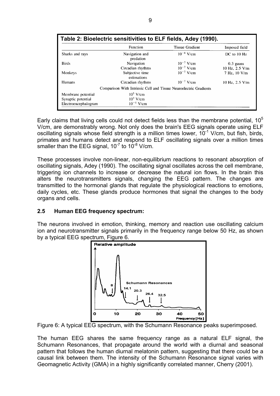|                      | <b>Function</b>                                                   | <b>Tissue Gradient</b> | Imposed field      |
|----------------------|-------------------------------------------------------------------|------------------------|--------------------|
| Sharks and rays      | Navigation and<br>predation                                       | $10^{-8}$ V/cm         | DC to 10 Hz        |
| <b>Birds</b>         | Navigation                                                        | $10^{-7}$ V/cm         | $0.3$ gauss        |
|                      | Circadian rhythms                                                 | $10^{-7}$ V/cm         | 10 Hz, 2.5 V/m     |
| Monkeys              | Subjective time<br>estimations                                    | $10^{-7}$ V/cm         | 7 Hz, 10 V/m       |
| <b>Humans</b>        | Circadian rhythms                                                 | $10^{-7}$ V/cm         | $10$ Hz, $2.5$ V/m |
|                      | Comparison With Intrinsic Cell and Tissue Neuroelectric Gradients |                        |                    |
| Membrane potential   | $10^5$ V/cm                                                       |                        |                    |
| Synaptic potential   | $10^3$ V/cm                                                       |                        |                    |
| Electroencephalogram | $10^{-1}$ V/cm                                                    |                        |                    |

Early claims that living cells could not detect fields less than the membrane potential,  $10<sup>5</sup>$ V/cm, are demonstrably wrong. Not only does the brain's EEG signals operate using ELF oscillating signals whose field strength is a million times lower,  $10^{-1}$  V/cm, but fish, birds, primates and humans detect and respond to ELF oscillating signals over a million times smaller than the EEG signal,  $10^{-7}$  to  $10^{-8}$  V/cm.

These processes involve non-linear, non-equilibrium reactions to resonant absorption of oscillating signals, Adey (1990). The oscillating signal oscillates across the cell membrane, triggering ion channels to increase or decrease the natural ion flows. In the brain this alters the neurotransmitters signals, changing the EEG pattern. The changes are transmitted to the hormonal glands that regulate the physiological reactions to emotions, daily cycles, etc. These glands produce hormones that signal the changes to the body organs and cells.

#### **2.5 Human EEG frequency spectrum:**

The neurons involved in emotion, thinking, memory and reaction use oscillating calcium ion and neurotransmitter signals primarily in the frequency range below 50 Hz, as shown by a typical EEG spectrum, Figure 6.





The human EEG shares the same frequency range as a natural ELF signal, the Schumann Resonances, that propagate around the world with a diurnal and seasonal pattern that follows the human diurnal melatonin pattern, suggesting that there could be a causal link between them. The intensity of the Schumann Resonance signal varies with Geomagnetic Activity (GMA) in a highly significantly correlated manner, Cherry (2001).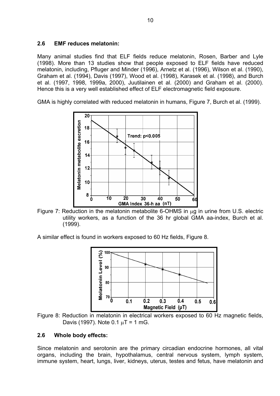#### **2.6 EMF reduces melatonin:**

Many animal studies find that ELF fields reduce melatonin, Rosen, Barber and Lyle (1998). More than 13 studies show that people exposed to ELF fields have reduced melatonin, including, Pfluger and Minder (1996), Arnetz et al. (1996), Wilson et al. (1990), Graham et al. (1994), Davis (1997), Wood et al. (1998), Karasek et al. (1998), and Burch et al. (1997, 1998, 1999a, 2000), Juutilainen et al. (2000) and Graham et al. (2000). Hence this is a very well established effect of ELF electromagnetic field exposure.

GMA is highly correlated with reduced melatonin in humans, Figure 7, Burch et al. (1999).



Figure 7: Reduction in the melatonin metabolite 6-OHMS in  $\mu$ g in urine from U.S. electric utility workers, as a function of the 36 hr global GMA aa-index, Burch et al. (1999).

A similar effect is found in workers exposed to 60 Hz fields, Figure 8.



Figure 8: Reduction in melatonin in electrical workers exposed to 60 Hz magnetic fields, Davis (1997). Note  $0.1 \mu T = 1 \text{ mG}$ .

### **2.6 Whole body effects:**

Since melatonin and serotonin are the primary circadian endocrine hormones, all vital organs, including the brain, hypothalamus, central nervous system, lymph system, immune system, heart, lungs, liver, kidneys, uterus, testes and fetus, have melatonin and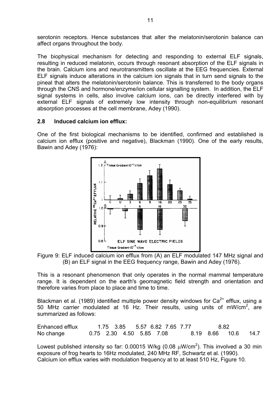serotonin receptors. Hence substances that alter the melatonin/serotonin balance can affect organs throughout the body.

The biophysical mechanism for detecting and responding to external ELF signals, resulting in reduced melatonin, occurs through resonant absorption of the ELF signals in the brain. Calcium ions and neurotransmitters oscillate at the EEG frequencies. External ELF signals induce alterations in the calcium ion signals that in turn send signals to the pineal that alters the melatonin/serotonin balance. This is transferred to the body organs through the CNS and hormone/enzyme/ion cellular signalling system. In addition, the ELF signal systems in cells, also involve calcium ions, can be directly interfered with by external ELF signals of extremely low intensity through non-equilibrium resonant absorption processes at the cell membrane, Adey (1990).

#### **2.8 Induced calcium ion efflux:**

One of the first biological mechanisms to be identified, confirmed and established is calcium ion efflux (positive and negative), Blackman (1990). One of the early results, Bawin and Adey (1976):



Figure 9: ELF induced calcium ion efflux from (A) an ELF modulated 147 MHz signal and (B) an ELF signal in the EEG frequency range, Bawin and Adey (1976).

This is a resonant phenomenon that only operates in the normal mammal temperature range. It is dependent on the earth's geomagnetic field strength and orientation and therefore varies from place to place and time to time.

Blackman et al. (1989) identified multiple power density windows for  $Ca^{2+}$  efflux, using a 50 MHz carrier modulated at 16 Hz. Their results, using units of mW/cm<sup>2</sup>, are summarized as follows:

| Enhanced efflux |  |                              | 1.75 3.85 5.57 6.82 7.65 7.77 | - 8.82 |      |
|-----------------|--|------------------------------|-------------------------------|--------|------|
| No change       |  | 0.75  2.30  4.50  5.85  7.08 |                               |        | 14.7 |

Lowest published intensity so far: 0.00015 W/kg (0.08  $\mu$ W/cm<sup>2</sup>). This involved a 30 min exposure of frog hearts to 16Hz modulated, 240 MHz RF, Schwartz et al. (1990). Calcium ion efflux varies with modulation frequency at to at least 510 Hz, Figure 10.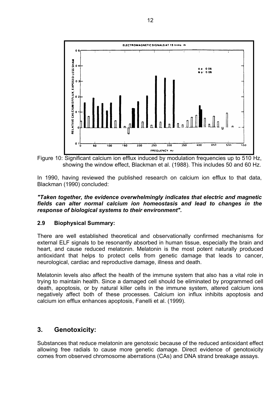

Figure 10: Significant calcium ion efflux induced by modulation frequencies up to 510 Hz, showing the window effect, Blackman et al. (1988). This includes 50 and 60 Hz.

In 1990, having reviewed the published research on calcium ion efflux to that data, Blackman (1990) concluded:

#### *"Taken together, the evidence overwhelmingly indicates that electric and magnetic fields can alter normal calcium ion homeostasis and lead to changes in the response of biological systems to their environment".*

#### **2.9 Biophysical Summary:**

There are well established theoretical and observationally confirmed mechanisms for external ELF signals to be resonantly absorbed in human tissue, especially the brain and heart, and cause reduced melatonin. Melatonin is the most potent naturally produced antioxidant that helps to protect cells from genetic damage that leads to cancer, neurological, cardiac and reproductive damage, illness and death.

Melatonin levels also affect the health of the immune system that also has a vital role in trying to maintain health. Since a damaged cell should be eliminated by programmed cell death, apoptosis, or by natural killer cells in the immune system, altered calcium ions negatively affect both of these processes. Calcium ion influx inhibits apoptosis and calcium ion efflux enhances apoptosis, Fanelli et al. (1999).

### **3. Genotoxicity:**

Substances that reduce melatonin are genotoxic because of the reduced antioxidant effect allowing free radials to cause more genetic damage. Direct evidence of genotoxicity comes from observed chromosome aberrations (CAs) and DNA strand breakage assays.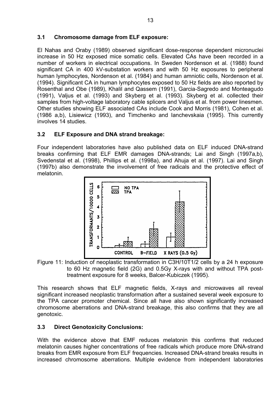#### **3.1 Chromosome damage from ELF exposure:**

El Nahas and Oraby (1989) observed significant dose-response dependent micronuclei increase in 50 Hz exposed mice somatic cells. Elevated CAs have been recorded in a number of workers in electrical occupations. In Sweden Nordenson et al. (1988) found significant CA in 400 kV-substation workers and with 50 Hz exposures to peripheral human lymphocytes, Nordenson et al. (1984) and human amniotic cells, Nordenson et al. (1994). Significant CA in human lymphocytes exposed to 50 Hz fields are also reported by Rosenthal and Obe (1989), Khalil and Qassem (1991), Garcia-Sagredo and Monteagudo (1991), Valjus et al. (1993) and Skyberg et al. (1993). Skyberg et al. collected their samples from high-voltage laboratory cable splicers and Valjus et al. from power linesmen. Other studies showing ELF associated CAs include Cook and Morris (1981), Cohen et al. (1986 a,b), Lisiewicz (1993), and Timchenko and Ianchevskaia (1995). This currently involves 14 studies.

### **3.2 ELF Exposure and DNA strand breakage:**

Four independent laboratories have also published data on ELF induced DNA-strand breaks confirming that ELF EMR damages DNA-strands; Lai and Singh (1997a,b), Svedenstal et al. (1998), Phillips et al. (1998a), and Ahuja et al. (1997). Lai and Singh (1997b) also demonstrate the involvement of free radicals and the protective effect of melatonin.



Figure 11: Induction of neoplastic transformation in C3H/10T1/2 cells by a 24 h exposure to 60 Hz magnetic field (2G) and 0.5Gy X-rays with and without TPA posttreatment exposure for 8 weeks, Balcer-Kubiczek (1995).

This research shows that ELF magnetic fields, X-rays and microwaves all reveal significant increased neoplastic transformation after a sustained several week exposure to the TPA cancer promoter chemical. Since all have also shown significantly increased chromosome aberrations and DNA-strand breakage, this also confirms that they are all genotoxic.

### **3.3 Direct Genotoxicity Conclusions:**

With the evidence above that EMF reduces melatonin this confirms that reduced melatonin causes higher concentrations of free radicals which produce more DNA-strand breaks from EMR exposure from ELF frequencies. Increased DNA-strand breaks results in increased chromosome aberrations. Multiple evidence from independent laboratories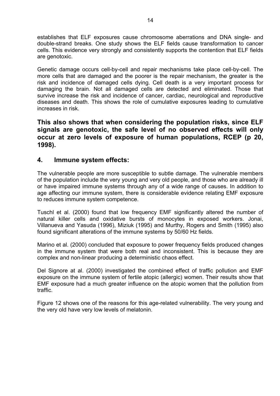establishes that ELF exposures cause chromosome aberrations and DNA single- and double-strand breaks. One study shows the ELF fields cause transformation to cancer cells. This evidence very strongly and consistently supports the contention that ELF fields are genotoxic.

Genetic damage occurs cell-by-cell and repair mechanisms take place cell-by-cell. The more cells that are damaged and the poorer is the repair mechanism, the greater is the risk and incidence of damaged cells dying. Cell death is a very important process for damaging the brain. Not all damaged cells are detected and eliminated. Those that survive increase the risk and incidence of cancer, cardiac, neurological and reproductive diseases and death. This shows the role of cumulative exposures leading to cumulative increases in risk.

**This also shows that when considering the population risks, since ELF signals are genotoxic, the safe level of no observed effects will only occur at zero levels of exposure of human populations, RCEP (p 20, 1998).** 

### **4. Immune system effects:**

The vulnerable people are more susceptible to subtle damage. The vulnerable members of the population include the very young and very old people, and those who are already ill or have impaired immune systems through any of a wide range of causes. In addition to age affecting our immune system, there is considerable evidence relating EMF exposure to reduces immune system competence.

Tuschl et al. (2000) found that low frequency EMF significantly altered the number of natural killer cells and oxidative bursts of monocytes in exposed workers. Jonai, Villanueva and Yasuda (1996), Miziuk (1995) and Murthy, Rogers and Smith (1995) also found significant alterations of the immune systems by 50/60 Hz fields.

Marino et al. (2000) concluded that exposure to power frequency fields produced changes in the immune system that were both real and inconsistent. This is because they are complex and non-linear producing a deterministic chaos effect.

Del Signore at al. (2000) investigated the combined effect of traffic pollution and EMF exposure on the immune system of fertile atopic (allergic) women. Their results show that EMF exposure had a much greater influence on the atopic women that the pollution from traffic.

Figure 12 shows one of the reasons for this age-related vulnerability. The very young and the very old have very low levels of melatonin.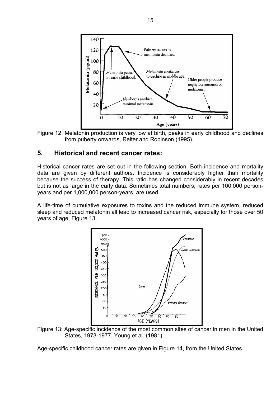

Figure 12: Melatonin production is very low at birth, peaks in early childhood and declines from puberty onwards, Reiter and Robinson (1995).

### **5. Historical and recent cancer rates:**

Historical cancer rates are set out in the following section. Both incidence and mortality data are given by different authors. Incidence is considerably higher than mortality because the success of therapy. This ratio has changed considerably in recent decades but is not as large in the early data. Sometimes total numbers, rates per 100,000 personyears and per 1,000,000 person-years, are used.

A life-time of cumulative exposures to toxins and the reduced immune system, reduced sleep and reduced melatonin all lead to increased cancer risk, especially for those over 50 years of age, Figure 13.



Figure 13: Age-specific incidence of the most common sites of cancer in men in the United States, 1973-1977, Young et al. (1981).

Age-specific childhood cancer rates are given in Figure 14, from the United States.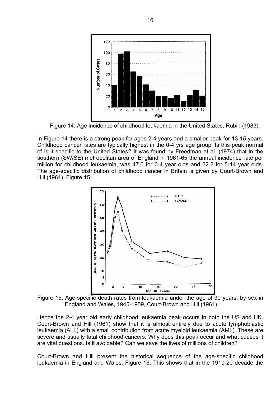

Figure 14: Age incidence of childhood leukaemia in the United States, Rubin (1983).

In Figure 14 there is a strong peak for ages 2-4 years and a smaller peak for 13-15 years. Childhood cancer rates are typically highest in the 0-4 yrs age group. Is this peak normal of is it specific to the United States? It was found by Freedman et al. (1974) that in the southern (SW/SE) metropolitan area of England in 1961-65 the annual incidence rate per million for childhood leukaemia, was 47.6 for 0-4 year olds and 32.2 for 5-14 year olds. The age-specific distribution of childhood cancer in Britain is given by Court-Brown and Hill (1961), Figure 15.



Figure 15: Age-specific death rates from leukaemia under the age of 30 years, by sex in England and Wales, 1945-1959, Court-Brown and Hill (1961).

Hence the 2-4 year old early childhood leukaemia peak occurs in both the US and UK. Court-Brown and Hill (1961) show that it is almost entirely due to acute lymphoblastic leukaemia (ALL) with a small contribution from acute myeloid leukaemia (AML). These are severe and usually fatal childhood cancers. Why does this peak occur and what causes it are vital questions. Is it avoidable? Can we save the lives of millions of children?

Court-Brown and Hill present the historical sequence of the age-specific childhood leukaemia in England and Wales, Figure 16. This shows that in the 1910-20 decade the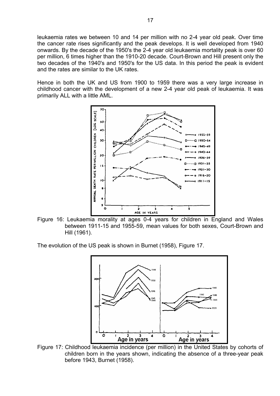leukaemia rates we between 10 and 14 per million with no 2-4 year old peak. Over time the cancer rate rises significantly and the peak develops. It is well developed from 1940 onwards. By the decade of the 1950's the 2-4 year old leukaemia mortality peak is over 60 per million, 6 times higher than the 1910-20 decade. Court-Brown and Hill present only the two decades of the 1940's and 1950's for the US data. In this period the peak is evident and the rates are similar to the UK rates.

Hence in both the UK and US from 1900 to 1959 there was a very large increase in childhood cancer with the development of a new 2-4 year old peak of leukaemia. It was primarily ALL with a little AML.



Figure 16: Leukaemia morality at ages 0-4 years for children in England and Wales between 1911-15 and 1955-59, mean values for both sexes, Court-Brown and Hill (1961).

The evolution of the US peak is shown in Burnet (1958), Figure 17.



Figure 17: Childhood leukaemia incidence (per million) in the United States by cohorts of children born in the years shown, indicating the absence of a three-year peak before 1943, Burnet (1958).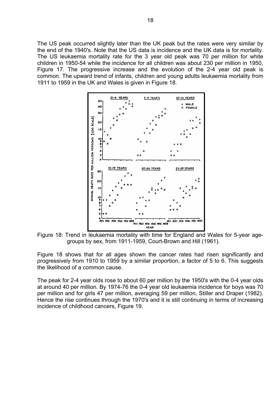The US peak occurred slightly later than the UK peak but the rates were very similar by the end of the 1940's. Note that the US data is incidence and the UK data is for mortality. The US leukaemia mortality rate for the 3 year old peak was 70 per million for white children in 1950-54 while the incidence for all children was about 230 per million in 1950, Figure 17. The progressive increase and the evolution of the 2-4 year old peak is common. The upward trend of infants, children and young adults leukaemia mortality from 1911 to 1959 in the UK and Wales is given in Figure 18.



Figure 18: Trend in leukaemia mortality with time for England and Wales for 5-year agegroups by sex, from 1911-1959, Court-Brown and Hill (1961).

Figure 18 shows that for all ages shown the cancer rates had risen significantly and progressively from 1910 to 1959 by a similar proportion, a factor of 5 to 6. This suggests the likelihood of a common cause.

The peak for 2-4 year olds rose to about 60 per million by the 1950's with the 0-4 year olds at around 40 per million. By 1974-76 the 0-4 year old leukaemia incidence for boys was 70 per million and for girls 47 per million, averaging 59 per million, Stiller and Draper (1982). Hence the rise continues through the 1970's and it is still continuing in terms of increasing incidence of childhood cancers, Figure 19.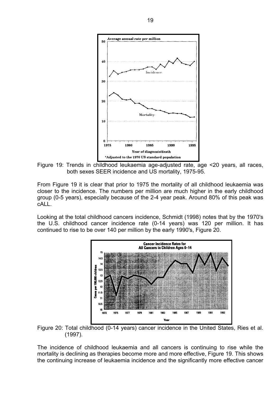

Figure 19: Trends in childhood leukaemia age-adjusted rate, age <20 years, all races, both sexes SEER incidence and US mortality, 1975-95.

From Figure 19 it is clear that prior to 1975 the mortality of all childhood leukaemia was closer to the incidence. The numbers per million are much higher in the early childhood group (0-5 years), especially because of the 2-4 year peak. Around 80% of this peak was cALL.

Looking at the total childhood cancers incidence, Schmidt (1998) notes that by the 1970's the U.S. childhood cancer incidence rate (0-14 years) was 120 per million. It has continued to rise to be over 140 per million by the early 1990's, Figure 20.



Figure 20: Total childhood (0-14 years) cancer incidence in the United States, Ries et al. (1997).

The incidence of childhood leukaemia and all cancers is continuing to rise while the mortality is declining as therapies become more and more effective, Figure 19. This shows the continuing increase of leukaemia incidence and the significantly more effective cancer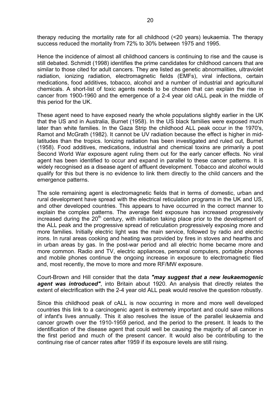therapy reducing the mortality rate for all childhood (<20 years) leukaemia. The therapy success reduced the mortality from 72% to 30% between 1975 and 1995.

Hence the incidence of almost all childhood cancers is continuing to rise and the cause is still debated. Schmidt (1998) identifies the prime candidates for childhood cancers that are similar to those cited for adult cancers. They are listed as genetic abnormalities, ultraviolet radiation, ionizing radiation, electromagnetic fields (EMFs), viral infections, certain medications, food additives, tobacco, alcohol and a number of industrial and agricultural chemicals. A short-list of toxic agents needs to be chosen that can explain the rise in cancer from 1900-1960 and the emergence of a 2-4 year old cALL peak in the middle of this period for the UK.

These agent need to have exposed nearly the whole populations slightly earlier in the UK that the US and in Australia, Burnet (1958). In the US black families were exposed much later than white families. In the Gaza Strip the childhood ALL peak occur in the 1970's, Ramot and McGrath (1982). It cannot be UV radiation because the effect is higher in midlatitudes than the tropics. Ionizing radiation has been investigated and ruled out, Burnet (1958). Food additives, medications, industrial and chemical toxins are primarily a post Second World War exposure agent ruling them out for the early cancer effects. No viral agent has been identified to occur and expand in parallel to these cancer patterns. It is widely recognised as a disease agent of affluent development. Tobacco and alcohol would qualify for this but there is no evidence to link them directly to the child cancers and the emergence patterns.

The sole remaining agent is electromagnetic fields that in terms of domestic, urban and rural development have spread with the electrical reticulation programs in the UK and US, and other developed countries. This appears to have occurred in the correct manner to explain the complex patterns. The average field exposure has increased progressively increased during the  $20<sup>th</sup>$  century, with initiation taking place prior to the development of the ALL peak and the progressive spread of reticulation progressively exposing more and more families. Initially electric light was the main service, followed by radio and electric irons. In rural areas cooking and heating was provided by fires in stoves and hearths and in urban areas by gas. In the post-war period and all electric home became more and more common. Radio and TV, electric appliances, personal computers, portable phones and mobile phones continue the ongoing increase in exposure to electromagnetic filed and, most recently, the move to more and more RF/MW exposure.

Court-Brown and Hill consider that the data *"may suggest that a new leukaemogenic agent was introduced"*, into Britain about 1920. An analysis that directly relates the extent of electrification with the 2-4 year old ALL peak would resolve the question robustly.

Since this childhood peak of cALL is now occurring in more and more well developed countries this link to a carcinogenic agent is extremely important and could save millions of infant's lives annually. This it also resolves the issue of the parallel leukaemia and cancer growth over the 1910-1959 period, and the period to the present. It leads to the identification of the disease agent that could well be causing the majority of all cancer in the first period and much of the present cancer. It would also be contributing to the continuing rise of cancer rates after 1959 if its exposure levels are still rising.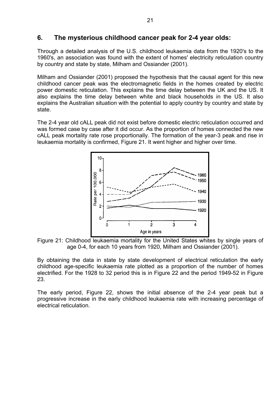### **6. The mysterious childhood cancer peak for 2-4 year olds:**

Through a detailed analysis of the U.S. childhood leukaemia data from the 1920's to the 1960's, an association was found with the extent of homes' electricity reticulation country by country and state by state, Milham and Ossiander (2001).

Milham and Ossiander (2001) proposed the hypothesis that the causal agent for this new childhood cancer peak was the electromagnetic fields in the homes created by electric power domestic reticulation. This explains the time delay between the UK and the US. It also explains the time delay between white and black households in the US. It also explains the Australian situation with the potential to apply country by country and state by state.

The 2-4 year old cALL peak did not exist before domestic electric reticulation occurred and was formed case by case after it did occur. As the proportion of homes connected the new cALL peak mortality rate rose proportionally. The formation of the year-3 peak and rise in leukaemia mortality is confirmed, Figure 21. It went higher and higher over time.



Figure 21: Childhood leukaemia mortality for the United States whites by single years of age 0-4, for each 10 years from 1920, Milham and Ossiander (2001).

By obtaining the data in state by state development of electrical reticulation the early childhood age-specific leukaemia rate plotted as a proportion of the number of homes electrified. For the 1928 to 32 period this is in Figure 22 and the period 1949-52 in Figure 23.

The early period, Figure 22, shows the initial absence of the 2-4 year peak but a progressive increase in the early childhood leukaemia rate with increasing percentage of electrical reticulation.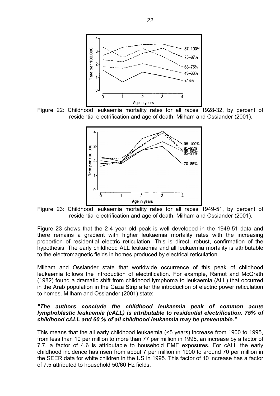

Figure 22: Childhood leukaemia mortality rates for all races 1928-32, by percent of residential electrification and age of death, Milham and Ossiander (2001).



Figure 23: Childhood leukaemia mortality rates for all races 1949-51, by percent of residential electrification and age of death, Milham and Ossiander (2001).

Figure 23 shows that the 2-4 year old peak is well developed in the 1949-51 data and there remains a gradient with higher leukaemia mortality rates with the increasing proportion of residential electric reticulation. This is direct, robust, confirmation of the hypothesis. The early childhood ALL leukaemia and all leukaemia mortality is attributable to the electromagnetic fields in homes produced by electrical reticulation.

Milham and Ossiander state that worldwide occurrence of this peak of childhood leukaemia follows the introduction of electrification. For example, Ramot and McGrath (1982) found a dramatic shift from childhood lymphoma to leukaemia (ALL) that occurred in the Arab population in the Gaza Strip after the introduction of electric power reticulation to homes. Milham and Ossiander (2001) state:

#### *"The authors conclude the childhood leukaemia peak of common acute lymphoblastic leukaemia (cALL) is attributable to residential electrification. 75% of childhood cALL and 60 % of all childhood leukaemia may be preventable."*

This means that the all early childhood leukaemia (<5 years) increase from 1900 to 1995, from less than 10 per million to more than 77 per million in 1995, an increase by a factor of 7.7, a factor of 4.6 is attributable to household EMF exposures. For cALL the early childhood incidence has risen from about 7 per million in 1900 to around 70 per million in the SEER data for white children in the US in 1995. This factor of 10 increase has a factor of 7.5 attributed to household 50/60 Hz fields.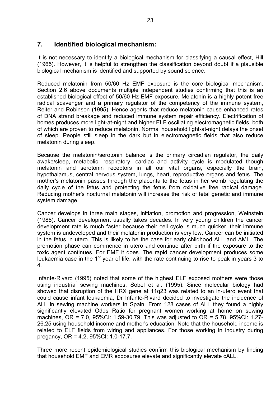### **7. Identified biological mechanism:**

It is not necessary to identify a biological mechanism for classifying a causal effect, Hill (1965). However, it is helpful to strengthen the classification beyond doubt if a plausible biological mechanism is identified and supported by sound science.

Reduced melatonin from 50/60 Hz EMF exposure is the core biological mechanism. Section 2.6 above documents multiple independent studies confirming that this is an established biological effect of 50/60 Hz EMF exposure. Melatonin is a highly potent free radical scavenger and a primary regulator of the competency of the immune system, Reiter and Robinson (1995). Hence agents that reduce melatonin cause enhanced rates of DNA strand breakage and reduced immune system repair efficiency. Electrification of homes produces more light-at-night and higher ELF oscillating electromagnetic fields, both of which are proven to reduce melatonin. Normal household light-at-night delays the onset of sleep. People still sleep in the dark but in electromagnetic fields that also reduce melatonin during sleep.

Because the melatonin/serotonin balance is the primary circadian regulator, the daily awake/sleep, metabolic, respiratory, cardiac and activity cycle is modulated though melatonin and serotonin receptors in all our vital organs, especially the brain, hypothalamus, central nervous system, lungs, heart, reproductive organs and fetus. The mother's melatonin passes through the placenta to the fetus in her womb regulating the daily cycle of the fetus and protecting the fetus from oxidative free radical damage. Reducing mother's nocturnal melatonin will increase the risk of fetal genetic and immune system damage.

Cancer develops in three main stages, initiation, promotion and progression, Weinstein (1988). Cancer development usually takes decades. In very young children the cancer development rate is much faster because their cell cycle is much quicker, their immune system is undeveloped and their melatonin production is very low. Cancer can be initiated in the fetus in utero. This is likely to be the case for early childhood ALL and AML. The promotion phase can commence in utero and continue after birth if the exposure to the toxic agent continues. For EMF it does. The rapid cancer development produces some leukaemia case in the  $1<sup>st</sup>$  year of life, with the rate continuing to rise to peak in years 3 to 4.

Infante-Rivard (1995) noted that some of the highest ELF exposed mothers were those using industrial sewing machines, Sobel et al. (1995). Since molecular biology had showed that disruption of the HRX gene at 11q23 was related to an in-utero event that could cause infant leukaemia, Dr Infante-Rivard decided to investigate the incidence of ALL in sewing machine workers in Spain. From 128 cases of ALL they found a highly significantly elevated Odds Ratio for pregnant women working at home on sewing machines, OR = 7.0, 95%CI: 1.59-30.79. This was adjusted to OR = 5.78, 95%CI: 1.27- 26.25 using household income and mother's education. Note that the household income is related to ELF fields from wiring and appliances. For those working in industry during pregancy, OR = 4.2, 95%CI: 1.0-17.7.

Three more recent epidemiological studies confirm this biological mechanism by finding that household EMF and EMR exposures elevate and significantly elevate cALL.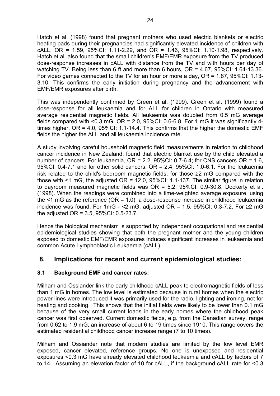Hatch et al. (1998) found that pregnant mothers who used electric blankets or electric heating pads during their pregnancies had significantly elevated incidence of children with cALL, OR = 1.59, 95%CI: 1.11-2.29, and OR = 1.46, 95%CI: 1.10-1.98, respectively. Hatch et al. also found that the small children's EMF/EMR exposure from the TV produced dose-response increases in cALL with distance from the TV and with hours per day of watching TV. Being less than 6 ft and more than 6 hours, OR = 4.67, 95%CI: 1.64-13.36. For video games connected to the TV for an hour or more a day, OR = 1.87, 95%CI: 1.13- 3.10. This confirms the early initiation during pregnancy and the advancement with EMF/EMR exposures after birth.

This was independently confirmed by Green et al. (1999). Green et al. (1999) found a dose-response for all leukaemia and for ALL for children in Ontario with measured average residential magnetic fields. All leukaemia was doubled from 0.5 mG average fields compared with <0.3 mG,  $OR = 2.0$ ,  $95\%CI: 0.6-6.8$ . For 1 mG it was significantly 4times higher,  $OR = 4.0$ ,  $95\%$ CI: 1.1-14.4. This confirms that the higher the domestic EMF fields the higher the ALL and all leukaemia incidence rate.

A study involving careful household magnetic field measurements in relation to childhood cancer incidence in New Zealand, found that electric blanket use by the child elevated a number of cancers. For leukaemia, OR = 2.2, 95%CI: 0.7-6.4; for CNS cancers OR = 1.6, 95%CI: 0.4-7.1 and for other solid cancers, OR = 2.4, 95%CI: 1.0-6.1. For the leukaemia risk related to the child's bedroom magnetic fields, for those  $\geq 2$  mG compared with the those with  $\leq 1$  mG, the adjusted OR = 12.0, 95%CI: 1.1-137. The similar figure in relation to dayroom measured magnetic fields was OR = 5.2, 95%CI: 0.9-30.8, Dockerty et al. (1998). When the readings were combined into a time-weighted average exposure, using the  $\leq$ 1 mG as the reference (OR = 1.0), a dose-response increase in childhood leukaemia incidence was found. For 1mG - <2 mG, adjusted  $OR = 1.5$ , 95%CI: 0.3-7.2. For ≥2 mG the adjusted OR = 3.5, 95%CI: 0.5-23.7.

Hence the biological mechanism is supported by independent occupational and residential epidemiological studies showing that both the pregnant mother and the young children exposed to domestic EMF/EMR exposures induces significant increases in leukaemia and common Acute Lymphoblastic Leukaemia (cALL).

### **8. Implications for recent and current epidemiological studies:**

#### **8.1 Background EMF and cancer rates:**

Milham and Ossiander link the early childhood cALL peak to electromagnetic fields of less than 1 mG in homes. The low level is estimated because in rural homes when the electric power lines were introduced it was primarily used for the radio, lighting and ironing, not for heating and cooking. This shows that the initial fields were likely to be lower than 0.1 mG because of the very small current loads in the early homes where the childhood peak cancer was first observed. Current domestic fields, e.g. from the Canadian survey, range from 0.62 to 1.9 mG, an increase of about 6 to 19 times since 1910. This range covers the estimated residential childhood cancer increase range (7 to 10 times).

Milham and Ossiander note that modern studies are limited by the low level EMR exposed, cancer elevated, reference groups. No one is unexposed and residential exposures <0.3 mG have already elevated childhood leukaemia and cALL by factors of 7 to 14. Assuming an elevation factor of 10 for cALL, if the background cALL rate for <0.3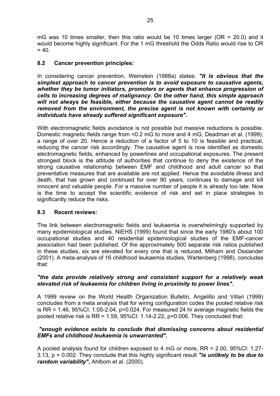mG was 10 times smaller, then this ratio would be 10 times larger ( $OR = 20.0$ ) and it would become highly significant. For the 1 mG threshold the Odds Ratio would rise to OR  $= 40.$ 

#### **8.2 Cancer prevention principles:**

In considering cancer prevention, Weinstein (1988a) states: *"It is obvious that the simplest approach to cancer prevention is to avoid exposure to causative agents, whether they be tumor initiators, promoters or agents that enhance progression of cells to increasing degrees of malignancy. On the other hand, this simple approach will not always be feasible, either because the causative agent cannot be readily removed from the environment, the precise agent is not known with certainty or individuals have already suffered significant exposure".* 

With electromagnetic fields avoidance is not possible but massive reductions is possible. Domestic magnetic fields range from <0.2 mG to more and 4 mG, Deadman et al. (1999), a range of over 20. Hence a reduction of a factor of 5 to 10 is feasible and practical, reducing the cancer risk accordingly. The causative agent is now identified as domestic electromagnetic fields, enhanced by powerlines and occupational exposures. The present strongest block is the attitude of authorities that continue to deny the existence of the strong causative relationship between EMF and childhood and adult cancer so that preventative measures that are available are not applied. Hence the avoidable illness and death, that has grown and continued for over 90 years, continues to damage and kill innocent and valuable people. For a massive number of people it is already too late. Now is the time to accept the scientific evidence of risk and set in place strategies to significantly reduce the risks.

#### **8.3 Recent reviews:**

The link between electromagnetic fields and leukaemia is overwhelmingly supported by many epidemiological studies. NIEHS (1999) found that since the early 1980's about 100 occupational studies and 40 residential epidemiological studies of the EMF-cancer association had been published. Of the approximately 500 separate risk ratios published in these studies, six are elevated for every one that is reduced, Milham and Ossiander (2001). A meta-analysis of 16 childhood leukaemia studies, Wartenberg (1998), concludes that:

#### *"the data provide relatively strong and consistent support for a relatively weak elevated risk of leukaemia for children living in proximity to power lines".*

A 1999 review on the World Health Organization Bulletin, Angelillo and Villari (1999) concludes from a meta analysis that for wiring configuration codes the pooled relative risk is  $RR = 1.46$ ,  $95\%$ CI:  $1.05 - 2.04$ ,  $p = 0.024$ . For measured 24 hr average magnetic fields the pooled relative risk is  $RR = 1.59$ ,  $95\%$ CI: 1.14-2.22,  $p=0.006$ . They concluded that:

#### *"enough evidence exists to conclude that dismissing concerns about residential EMFs and childhood leukaemia is unwarranted".*

A pooled analysis found for children exposed to 4 mG or more, RR = 2.00, 95%CI: 1.27- 3.13, p = 0.002. They conclude that this highly significant result *"is unlikely to be due to random variability",* Ahlbom et al. (2000).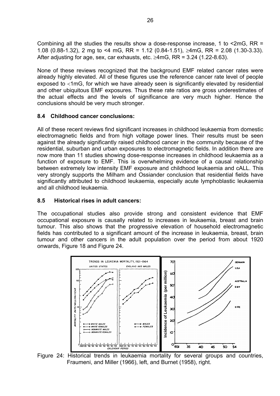Combining all the studies the results show a dose-response increase, 1 to <2mG, RR = 1.08 (0.88-1.32), 2 mg to <4 mG, RR = 1.12 (0.84-1.51), ≥4mG, RR = 2.08 (1.30-3.33). After adjusting for age, sex, car exhausts, etc.  $\geq$ 4mG, RR = 3.24 (1.22-8.63).

None of these reviews recognized that the background EMF related cancer rates were already highly elevated. All of these figures use the reference cancer rate level of people exposed to <1mG, for which we have already seen is significantly elevated by residential and other ubiquitous EMF exposures. Thus these rate ratios are gross underestimates of the actual effects and the levels of significance are very much higher. Hence the conclusions should be very much stronger.

#### **8.4 Childhood cancer conclusions:**

All of these recent reviews find significant increases in childhood leukaemia from domestic electromagnetic fields and from high voltage power lines. Their results must be seen against the already significantly raised childhood cancer in the community because of the residential, suburban and urban exposures to electromagnetic fields. In addition there are now more than 11 studies showing dose-response increases in childhood leukaemia as a function of exposure to EMF. This is overwhelming evidence of a causal relationship between extremely low intensity EMF exposure and childhood leukaemia and cALL. This very strongly supports the Milham and Ossiander conclusion that residential fields have significantly attributed to childhood leukaemia, especially acute lymphoblastic leukaemia and all childhood leukaemia.

#### **8.5 Historical rises in adult cancers:**

The occupational studies also provide strong and consistent evidence that EMF occupational exposure is causally related to increases in leukaemia, breast and brain tumour. This also shows that the progressive elevation of household electromagnetic fields has contributed to a significant amount of the increase in leukaemia, breast, brain tumour and other cancers in the adult population over the period from about 1920 onwards, Figure 18 and Figure 24.



Figure 24: Historical trends in leukaemia mortality for several groups and countries, Fraumeni, and Miller (1966), left, and Burnet (1958), right.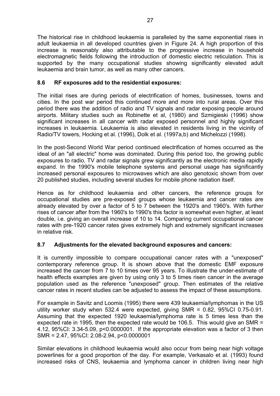The historical rise in childhood leukaemia is paralleled by the same exponential rises in adult leukaemia in all developed countries given in Figure 24. A high proportion of this increase is reasonably also attributable to the progressive increase in household electromagnetic fields following the introduction of domestic electric reticulation. This is supported by the many occupational studies showing significantly elevated adult leukaemia and brain tumor, as well as many other cancers.

#### **8.6 RF exposures add to the residential exposures:**

The initial rises are during periods of electrification of homes, businesses, towns and cities. In the post war period this continued more and more into rural areas. Over this period there was the addition of radio and TV signals and radar exposing people around airports. Military studies such as Robinette et al, (1980) and Szmigieski (1996) show significant increases in all cancer with radar exposed personnel and highly significant increases in leukaemia. Leukaemia is also elevated in residents living in the vicinity of Radio/TV towers, Hocking et al. (1996), Dolk et al. (1997a,b) and Michelozzi (1998).

In the post-Second World War period continued electrification of homes occurred as the ideal of an "all electric" home was dominated. During this period too, the growing public exposures to radio, TV and radar signals grew significantly as the electronic media rapidly expand. In the 1990's mobile telephone systems and personal usage has significantly increased personal exposures to microwaves which are also genotoxic shown from over 20 published studies, including several studies for mobile phone radiation itself.

Hence as for childhood leukaemia and other cancers, the reference groups for occupational studies are pre-exposed groups whose leukaemia and cancer rates are already elevated by over a factor of 5 to 7 between the 1920's and 1960's. With further rises of cancer after from the 1960's to 1990's this factor is somewhat even higher, at least double, i.e. giving an overall increase of 10 to 14. Comparing current occupational cancer rates with pre-1920 cancer rates gives extremely high and extremely significant increases in relative risk.

#### **8.7 Adjustments for the elevated background exposures and cancers:**

It is currently impossible to compare occupational cancer rates with a "unexposed" contemporary reference group. It is shown above that the domestic EMF exposure increased the cancer from 7 to 10 times over 95 years. To illustrate the under-estimate of health effects examples are given by using only 3 to 5 times risen cancer in the average population used as the reference "unexposed" group. Then estimates of the relative cancer rates in recent studies can be adjusted to assess the impact of these assumptions.

For example in Savitz and Loomis (1995) there were 439 leukaemia/lymphomas in the US utility worker study when 532.4 were expected, giving SMR = 0.82, 95%CI 0.75-0.91. Assuming that the expected 1920 leukaemia/lymphoma rate is 5 times less than the expected rate in 1995, then the expected rate would be 106.5. This would give an SMR = 4.12, 95%CI: 3.34-5.09, p<0.0000001. If the appropriate elevation was a factor of 3 then SMR = 2.47, 95%CI: 2.08-2.94, p<0.0000001

Similar elevations in childhood leukaemia would also occur from being near high voltage powerlines for a good proportion of the day. For example, Verkasalo et al. (1993) found increased risks of CNS, leukaemia and lymphoma cancer in children living near high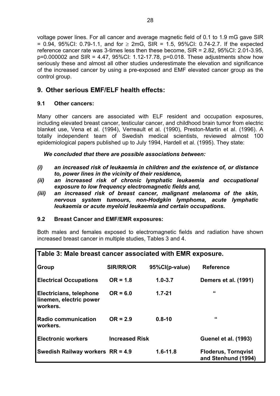voltage power lines. For all cancer and average magnetic field of 0.1 to 1.9 mG gave SIR = 0.94, 95%CI: 0.79-1.1, and for  $\geq$  2mG, SIR = 1.5, 95%CI: 0.74-2.7. If the expected reference cancer rate was 3-times less then these become, SIR = 2.82, 95%CI: 2.01-3.95, p=0.000002 and SIR = 4.47, 95%CI: 1.12-17.78, p=0.018. These adjustments show how seriously these and almost all other studies underestimate the elevation and significance of the increased cancer by using a pre-exposed and EMF elevated cancer group as the control group.

### **9. Other serious EMF/ELF health effects:**

#### **9.1 Other cancers:**

Many other cancers are associated with ELF resident and occupation exposures, including elevated breast cancer, testicular cancer, and childhood brain tumor from electric blanket use, Vena et al. (1994), Verreault et al. (1990), Preston-Martin et al. (1996). A totally independent team of Swedish medical scientists, reviewed almost 100 epidemiological papers published up to July 1994, Hardell et al. (1995). They state:

*We concluded that there are possible associations between:* 

- *(i) an increased risk of leukaemia in children and the existence of, or distance to, power lines in the vicinity of their residence,*
- *(ii) an increased risk of chronic lymphatic leukaemia and occupational exposure to low frequency electromagnetic fields and,*
- *(iii) an increased risk of breast cancer, malignant melanoma of the skin, nervous system tumours, non-Hodgkin lymphoma, acute lymphatic leukaemia or acute myeloid leukaemia and certain occupations.*

#### **9.2 Breast Cancer and EMF/EMR exposures:**

Both males and females exposed to electromagnetic fields and radiation have shown increased breast cancer in multiple studies, Tables 3 and 4.

| Table 3: Male breast cancer associated with EMR exposure.      |                       |                |                                                   |  |  |  |
|----------------------------------------------------------------|-----------------------|----------------|---------------------------------------------------|--|--|--|
| <b>Group</b>                                                   | <b>SIR/RR/OR</b>      | 95%Cl(p-value) | <b>Reference</b>                                  |  |  |  |
| <b>Electrical Occupations</b>                                  | $OR = 1.8$            | $1.0 - 3.7$    | <b>Demers et al. (1991)</b>                       |  |  |  |
| Electricians, telephone<br>linemen, electric power<br>workers. | $OR = 6.0$            | $1.7 - 21$     | "                                                 |  |  |  |
| <b>Radio communication</b><br>workers.                         | $OR = 2.9$            | $0.8 - 10$     | "                                                 |  |  |  |
| <b>Electronic workers</b>                                      | <b>Increased Risk</b> |                | <b>Guenel et al. (1993)</b>                       |  |  |  |
| Swedish Railway workers $RR = 4.9$                             |                       | $1.6 - 11.8$   | <b>Floderus, Torngvist</b><br>and Stenhund (1994) |  |  |  |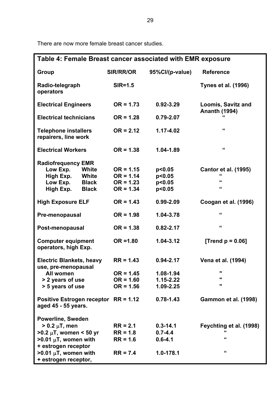There are now more female breast cancer studies.

| Table 4: Female Breast cancer associated with EMR exposure  |              |                  |                 |                                                   |  |  |
|-------------------------------------------------------------|--------------|------------------|-----------------|---------------------------------------------------|--|--|
| <b>Group</b>                                                |              | <b>SIR/RR/OR</b> | 95%Cl/(p-value) | <b>Reference</b>                                  |  |  |
| Radio-telegraph<br>operators                                |              | $SIR = 1.5$      |                 | <b>Tynes et al. (1996)</b>                        |  |  |
| <b>Electrical Engineers</b>                                 |              | $OR = 1.73$      | $0.92 - 3.29$   | <b>Loomis, Savitz and</b><br><b>Ananth (1994)</b> |  |  |
| <b>Electrical technicians</b>                               |              | $OR = 1.28$      | $0.79 - 2.07$   |                                                   |  |  |
| <b>Telephone installers</b><br>repairers, line work         |              | $OR = 2.12$      | 1.17-4.02       | "                                                 |  |  |
| <b>Electrical Workers</b>                                   |              | $OR = 1.38$      | 1.04-1.89       | $\pmb{\epsilon}$                                  |  |  |
| <b>Radiofrequency EMR</b>                                   |              |                  |                 |                                                   |  |  |
| Low Exp.                                                    | White        | $OR = 1.15$      | p<0.05          | <b>Cantor et al. (1995)</b>                       |  |  |
| High Exp.                                                   | <b>White</b> | $OR = 1.14$      | p<0.05          | "                                                 |  |  |
| Low Exp.                                                    | <b>Black</b> | $OR = 1.23$      | p<0.05          | "                                                 |  |  |
| High Exp.                                                   | <b>Black</b> | $OR = 1.34$      | p<0.05          | "                                                 |  |  |
| <b>High Exposure ELF</b>                                    |              | $OR = 1.43$      | $0.99 - 2.09$   | Coogan et al. (1996)                              |  |  |
| Pre-menopausal                                              |              | $OR = 1.98$      | 1.04-3.78       | "                                                 |  |  |
| Post-menopausal                                             |              | $OR = 1.38$      | $0.82 - 2.17$   | "                                                 |  |  |
| <b>Computer equipment</b><br>operators, high Exp.           |              | $OR = 1.80$      | 1.04-3.12       | [Trend $p = 0.06$ ]                               |  |  |
| <b>Electric Blankets, heavy</b><br>use, pre-menopausal      |              | $RR = 1.43$      | $0.94 - 2.17$   | Vena et al. (1994)                                |  |  |
| All women                                                   |              | $OR = 1.45$      | 1.08-1.94       |                                                   |  |  |
| > 2 years of use                                            |              | $OR = 1.60$      | $1.15 - 2.22$   | π                                                 |  |  |
| > 5 years of use                                            |              | $OR = 1.56$      | 1.09-2.25       |                                                   |  |  |
| Positive Estrogen receptor RR = 1.12<br>aged 45 - 55 years. |              |                  | $0.78 - 1.43$   | <b>Gammon et al. (1998)</b>                       |  |  |
| <b>Powerline, Sweden</b>                                    |              |                  |                 |                                                   |  |  |
| $> 0.2 \mu T$ , men                                         |              | $RR = 2.1$       | $0.3 - 14.1$    | Feychting et al. (1998)                           |  |  |
| $>0.2 \mu T$ , women < 50 yr                                |              | $RR = 1.8$       | $0.7 - 4.4$     |                                                   |  |  |
| $>0.01 \mu T$ , women with                                  |              | $RR = 1.6$       | $0.6 - 4.1$     | "                                                 |  |  |
| + estrogen receptor                                         |              |                  |                 |                                                   |  |  |
| $>0.01 \mu T$ , women with                                  |              | $RR = 7.4$       | 1.0-178.1       | "                                                 |  |  |
| + estrogen receptor,                                        |              |                  |                 |                                                   |  |  |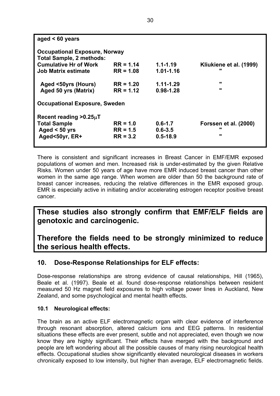| aged $< 60$ years                    |             |               |                              |  |  |  |  |
|--------------------------------------|-------------|---------------|------------------------------|--|--|--|--|
| <b>Occupational Exposure, Norway</b> |             |               |                              |  |  |  |  |
| <b>Total Sample, 2 methods:</b>      |             |               |                              |  |  |  |  |
| <b>Cumulative Hr of Work</b>         | $RR = 1.14$ | $1.1 - 1.19$  | Kliukiene et al. (1999)      |  |  |  |  |
| Job Matrix estimate                  | $RR = 1.08$ | $1.01 - 1.16$ |                              |  |  |  |  |
| Aged <50yrs (Hours)                  | $RR = 1.20$ | 1.11-1.29     | $\mathbf{u}$                 |  |  |  |  |
| Aged 50 yrs (Matrix)                 | $RR = 1.12$ | $0.98 - 1.28$ |                              |  |  |  |  |
| <b>Occupational Exposure, Sweden</b> |             |               |                              |  |  |  |  |
| Recent reading $>0.25\mu$ T          |             |               |                              |  |  |  |  |
| <b>Total Sample</b>                  | $RR = 1.0$  | $0.6 - 1.7$   | <b>Forssen et al. (2000)</b> |  |  |  |  |
| Aged $< 50$ yrs                      | $RR = 1.5$  | $0.6 - 3.5$   |                              |  |  |  |  |
| Aged<50yr, ER+                       | $RR = 3.2$  | $0.5 - 18.9$  | $\mathbf{u}$                 |  |  |  |  |
|                                      |             |               |                              |  |  |  |  |

There is consistent and significant increases in Breast Cancer in EMF/EMR exposed populations of women and men. Increased risk is under-estimated by the given Relative Risks. Women under 50 years of age have more EMR induced breast cancer than other women in the same age range. When women are older than 50 the background rate of breast cancer increases, reducing the relative differences in the EMR exposed group. EMR is especially active in initiating and/or accelerating estrogen receptor positive breast cancer.

## **These studies also strongly confirm that EMF/ELF fields are genotoxic and carcinogenic.**

**Therefore the fields need to be strongly minimized to reduce the serious health effects.** 

### **10. Dose-Response Relationships for ELF effects:**

Dose-response relationships are strong evidence of causal relationships, Hill (1965), Beale et al. (1997). Beale et al. found dose-response relationships between resident measured 50 Hz magnet field exposures to high voltage power lines in Auckland, New Zealand, and some psychological and mental health effects.

#### **10.1 Neurological effects:**

The brain as an active ELF electromagnetic organ with clear evidence of interference through resonant absorption, altered calcium ions and EEG patterns. In residential situations these effects are ever present, subtle and not appreciated, even though we now know they are highly significant. Their effects have merged with the background and people are left wondering about all the possible causes of many rising neurological health effects. Occupational studies show significantly elevated neurological diseases in workers chronically exposed to low intensity, but higher than average, ELF electromagnetic fields.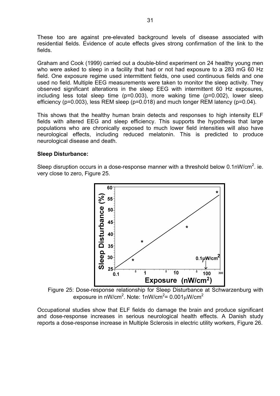These too are against pre-elevated background levels of disease associated with residential fields. Evidence of acute effects gives strong confirmation of the link to the fields.

Graham and Cook (1999) carried out a double-blind experiment on 24 healthy young men who were asked to sleep in a facility that had or not had exposure to a 283 mG 60 Hz field. One exposure regime used intermittent fields, one used continuous fields and one used no field. Multiple EEG measurements were taken to monitor the sleep activity. They observed significant alterations in the sleep EEG with intermittent 60 Hz exposures, including less total sleep time (p=0.003), more waking time (p=0.002), lower sleep efficiency (p=0.003), less REM sleep (p=0.018) and much longer REM latency (p=0.04).

This shows that the healthy human brain detects and responses to high intensity ELF fields with altered EEG and sleep efficiency. This supports the hypothesis that large populations who are chronically exposed to much lower field intensities will also have neurological effects, including reduced melatonin. This is predicted to produce neurological disease and death.

#### **Sleep Disturbance:**

Sleep disruption occurs in a dose-response manner with a threshold below 0.1nW/cm<sup>2</sup>. ie. very close to zero, Figure 25.



Figure 25: Dose-response relationship for Sleep Disturbance at Schwarzenburg with exposure in nW/cm $^2$ . Note: 1nW/cm $^2$ = 0.001 $\mu$ W/cm $^2$ 

Occupational studies show that ELF fields do damage the brain and produce significant and dose-response increases in serious neurological health effects. A Danish study reports a dose-response increase in Multiple Sclerosis in electric utility workers, Figure 26.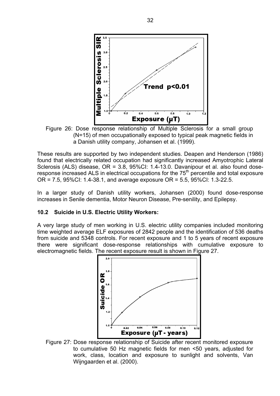

Figure 26: Dose response relationship of Multiple Sclerosis for a small group (N=15) of men occupationally exposed to typical peak magnetic fields in a Danish utility company, Johansen et al. (1999).

These results are supported by two independent studies. Deapen and Henderson (1986) found that electrically related occupation had significantly increased Amyotrophic Lateral Sclerosis (ALS) disease, OR = 3.8, 95%CI: 1.4-13.0. Davanipour et al. also found doseresponse increased ALS in electrical occupations for the  $75<sup>th</sup>$  percentile and total exposure OR = 7.5, 95%CI: 1.4-38.1, and average exposure OR = 5.5, 95%CI: 1.3-22.5.

In a larger study of Danish utility workers, Johansen (2000) found dose-response increases in Senile dementia, Motor Neuron Disease, Pre-senility, and Epilepsy.

#### **10.2 Suicide in U.S. Electric Utility Workers:**

A very large study of men working in U.S. electric utility companies included monitoring time weighted average ELF exposures of 2842 people and the identification of 536 deaths from suicide and 5348 controls. For recent exposure and 1 to 5 years of recent exposure there were significant dose-response relationships with cumulative exposure to electromagnetic fields. The recent exposure result is shown in Figure 27.



Figure 27: Dose response relationship of Suicide after recent monitored exposure to cumulative 50 Hz magnetic fields for men <50 years, adjusted for work, class, location and exposure to sunlight and solvents, Van Wijngaarden et al. (2000).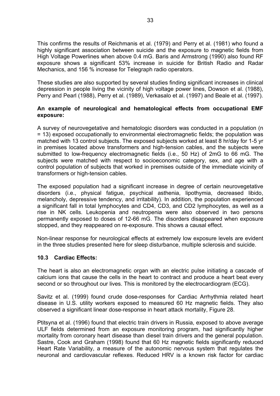This confirms the results of Reichmanis et al. (1979) and Perry et al. (1981) who found a highly significant association between suicide and the exposure to magnetic fields from High Voltage Powerlines when above 0.4 mG. Baris and Armstrong (1990) also found RF exposure shows a significant 53% increase in suicide for British Radio and Radar Mechanics, and 156 % increase for Telegraph radio operators.

These studies are also supported by several studies finding significant increases in clinical depression in people living the vicinity of high voltage power lines, Dowson et al. (1988), Perry and Pearl (1988), Perry et al. (1989), Verkasalo et al. (1997) and Beale et al. (1997).

#### **An example of neurological and hematological effects from occupational EMF exposure:**

A survey of neurovegetative and hematologic disorders was conducted in a population (n = 13) exposed occupationally to environmental electromagnetic fields; the population was matched with 13 control subjects. The exposed subjects worked at least 8 hr/day for 1-5 yr in premises located above transformers and high-tension cables, and the subjects were submitted to low-frequency electromagnetic fields (i.e., 50 Hz) of 2mG to 66 mG. The subjects were matched with respect to socioeconomic category, sex, and age with a control population of subjects that worked in premises outside of the immediate vicinity of transformers or high-tension cables.

The exposed population had a significant increase in degree of certain neurovegetative disorders (i.e., physical fatigue, psychical asthenia, lipothymia, decreased libido, melancholy, depressive tendency, and irritability). In addition, the population experienced a significant fall in total lymphocytes and CD4, CD3, and CD2 lymphocytes, as well as a rise in NK cells. Leukopenia and neutropenia were also observed in two persons permanently exposed to doses of 12-66 mG. The disorders disappeared when exposure stopped, and they reappeared on re-exposure. This shows a causal effect.

Non-linear response for neurological effects at extremely low exposure levels are evident in the three studies presented here for sleep disturbance, multiple sclerosis and suicide.

#### **10.3 Cardiac Effects:**

The heart is also an electromagnetic organ with an electric pulse initiating a cascade of calcium ions that cause the cells in the heart to contract and produce a heart beat every second or so throughout our lives. This is monitored by the electrocardiogram (ECG).

Savitz et al. (1999) found crude dose-responses for Cardiac Arrhythmia related heart disease in U.S. utility workers exposed to measured 60 Hz magnetic fields. They also observed a significant linear dose-response in heart attack mortality, Figure 28.

Ptitsyna et al. (1996) found that electric train drivers in Russia, exposed to above average ULF fields determined from an exposure monitoring program, had significantly higher mortality from coronary heart disease than diesel train drivers and the general population. Sastre, Cook and Graham (1998) found that 60 Hz magnetic fields significantly reduced Heart Rate Variability, a measure of the autonomic nervous system that regulates the neuronal and cardiovascular reflexes. Reduced HRV is a known risk factor for cardiac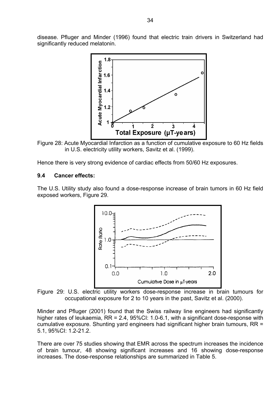disease. Pfluger and Minder (1996) found that electric train drivers in Switzerland had significantly reduced melatonin.



Figure 28: Acute Myocardial Infarction as a function of cumulative exposure to 60 Hz fields in U.S. electricity utility workers, Savitz et al. (1999).

Hence there is very strong evidence of cardiac effects from 50/60 Hz exposures.

#### **9.4 Cancer effects:**

The U.S. Utility study also found a dose-response increase of brain tumors in 60 Hz field exposed workers, Figure 29.



Figure 29: U.S. electric utility workers dose-response increase in brain tumours for occupational exposure for 2 to 10 years in the past, Savitz et al. (2000).

Minder and Pfluger (2001) found that the Swiss railway line engineers had significantly higher rates of leukaemia, RR = 2.4, 95%CI: 1.0-6.1, with a significant dose-response with cumulative exposure. Shunting yard engineers had significant higher brain tumours, RR = 5.1, 95%CI: 1.2-21.2.

There are over 75 studies showing that EMR across the spectrum increases the incidence of brain tumour, 48 showing significant increases and 16 showing dose-response increases. The dose-response relationships are summarized in Table 5.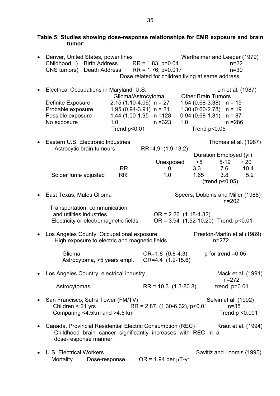| tumor:                                                                                                                                             |                                                                                                                                |                                                   |     |                                                                  |                                                                                                         |                          |
|----------------------------------------------------------------------------------------------------------------------------------------------------|--------------------------------------------------------------------------------------------------------------------------------|---------------------------------------------------|-----|------------------------------------------------------------------|---------------------------------------------------------------------------------------------------------|--------------------------|
| Denver, United States, power lines<br>Childhood )<br><b>Birth Address</b><br>CNS tumors) Death Address                                             |                                                                                                                                | $RR = 1.83$ , $p=0.04$<br>$RR = 1.76$ , $p=0.017$ |     |                                                                  | Wertheimer and Leeper (1979)<br>$n = 22$<br>$n=30$<br>Dose related for children living at same address. |                          |
| Electrical Occupations in Maryland, U.S.<br>Definite Exposure<br>Probable exposure<br>Possible exposure<br>No exposure                             | Glioma/Astrocytoma<br>$2.15(1.10-4.06)$ n = 27<br>$1.95(0.94-3.91)$ n = 21<br>$1.44$ (1.00-1.95 n = 128<br>1.0<br>Trend p<0.01 | $n = 323$                                         | 1.0 | <b>Other Brain Tumors</b><br>$1.54(0.68-3.38)$<br>Trend $p<0.05$ | Lin et al. (1987)<br>$n = 15$<br>$1.30(0.60-2.78)$ n = 19<br>$0.94$ (0.68-1.31) $n = 87$<br>$n = 286$   |                          |
| Eastern U.S. Electronic Industries<br>Astrocytic brain tumours<br>Solder fume adjusted                                                             | <b>RR</b><br><b>RR</b>                                                                                                         | RR=4.9 (1.9-13.2)<br>Unexposed<br>1.0<br>1.0      |     | $<$ 5<br>3.3<br>1.65                                             | Thomas et al. (1987)<br>Duration Employed (yr)<br>$5-19$<br>7.6<br>3.8                                  | $\geq 20$<br>10.4<br>5.2 |
| East Texas, Males Glioma                                                                                                                           |                                                                                                                                |                                                   |     |                                                                  | $($ trend $p<0.05)$<br>Speers, Dobbins and Miller (1988)                                                |                          |
| Transportation, communication<br>and utilities industries<br>Electricity or electromagnetic fields                                                 |                                                                                                                                | $OR = 2.26$ (1.18-4.32)                           |     |                                                                  | $n = 202$<br>OR = 3.94 (1.52-10.20) Trend: p<0.01                                                       |                          |
| Los Angeles County, Occupational exposure<br>High exposure to electric and magnetic fields                                                         |                                                                                                                                |                                                   |     |                                                                  | Preston-Martin et al. (1989)<br>$n = 272$                                                               |                          |
| Glioma<br>Astrocytoma, >5 years empl.                                                                                                              |                                                                                                                                | OR=1.8 (0.8-4.3)<br>OR=4.4 (1.2-15.6)             |     |                                                                  | p for trend $=0.05$                                                                                     |                          |
| Los Angeles Country, electrical industry<br>Astrocytomas                                                                                           |                                                                                                                                | $RR = 10.3$ (1.3-80.8)                            |     |                                                                  | Mack et al. (1991)<br>$n = 272$<br>trend, $p=0.01$                                                      |                          |
| San Francisco, Sutra Tower (FM/TV)<br>Children < 21 yrs<br>Comparing <4.5km and >4.5 km                                                            |                                                                                                                                | $RR = 2.87, (1.30-6.32), p<0.01$                  |     |                                                                  | Selvin et al. (1992)<br>$n = 35$<br>Trend $p < 0.001$                                                   |                          |
| Canada, Provincial Residential Electric Consumption (REC)<br>Childhood brain cancer significantly increases with REC in a<br>dose-response manner. |                                                                                                                                |                                                   |     |                                                                  | Kraut et al. (1994)                                                                                     |                          |
| <b>U.S. Electrical Workers</b><br>Mortality<br>Dose-response                                                                                       |                                                                                                                                | OR = $1.94$ per $\mu$ T-yr                        |     |                                                                  | Savitiz and Loomis (1995)                                                                               |                          |

**Table 5: Studies showing dose-response relationships for EMR exposure and brain**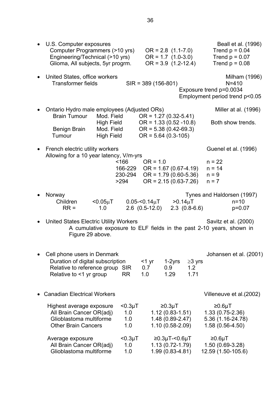| U.S. Computer exposures<br>Computer Programmers (>10 yrs)<br>Engineering/Technical (>10 yrs)<br>Glioma, All subjects, 5yr progrm. |                                               |               |                                                                              | $OR = 2.8$ (1.1-7.0)<br>$OR = 1.7 (1.0-3.0)$<br>$OR = 3.9$ (1.2-12.4) |                 | Beall et al. (1996)<br>Trend $p = 0.04$<br>Trend $p = 0.07$<br>Trend $p = 0.08$              |
|-----------------------------------------------------------------------------------------------------------------------------------|-----------------------------------------------|---------------|------------------------------------------------------------------------------|-----------------------------------------------------------------------|-----------------|----------------------------------------------------------------------------------------------|
| United States, office workers<br><b>Transformer fields</b>                                                                        |                                               |               | $SIR = 389(156-801)$                                                         |                                                                       |                 | Milham (1996)<br>$N = 410$<br>Exposure trend p=0.0034<br>Employment period trend p<0.05      |
| Ontario Hydro male employees (Adjusted ORs)<br><b>Brain Tumour</b>                                                                | Mod. Field                                    |               | $OR = 1.27 (0.32 - 5.41)$                                                    |                                                                       |                 | Miller at al. (1996)                                                                         |
| <b>Benign Brain</b><br>Tumour                                                                                                     | High Field<br>Mod. Field<br><b>High Field</b> |               | $OR = 1.33 (0.52 - 10.8)$<br>$OR = 5.38(0.42-69.3)$<br>$OR = 5.64 (0.3-105)$ |                                                                       |                 | Both show trends.                                                                            |
| French electric utility workers                                                                                                   |                                               |               |                                                                              |                                                                       |                 | Guenel et al. (1996)                                                                         |
| Allowing for a 10 year latency, V/m-yrs                                                                                           |                                               | $<$ 166       | $OR = 1.0$                                                                   |                                                                       |                 | $n = 22$                                                                                     |
|                                                                                                                                   |                                               | 166-229       |                                                                              | $OR = 1.67(0.67 - 4.19)$                                              |                 | $n = 14$                                                                                     |
|                                                                                                                                   | >294                                          | 230-294       |                                                                              | $OR = 1.79(0.60-5.36)$<br>$OR = 2.15(0.63 - 7.26)$                    |                 | $n = 9$<br>$n = 7$                                                                           |
| Norway                                                                                                                            |                                               |               |                                                                              |                                                                       |                 | Tynes and Haldorsen (1997)                                                                   |
| Children<br>$RR =$                                                                                                                | $< 0.05 \mu T$<br>1.0                         |               | $0.05< 0.14 \mu T$<br>$2.6$ $(0.5-12.0)$                                     | $>0.14 \mu T$                                                         | $2.3$ (0.8-6.6) | $n = 10$<br>$p=0.07$                                                                         |
| United States Electric Utility Workers<br>Figure 29 above.                                                                        |                                               |               |                                                                              |                                                                       |                 | Savitz et al. (2000)<br>A cumulative exposure to ELF fields in the past 2-10 years, shown in |
| Cell phone users in Denmark                                                                                                       |                                               |               |                                                                              |                                                                       |                 | Johansen et al. (2001)                                                                       |
| Duration of digital subscription                                                                                                  |                                               |               | $<$ 1 yr                                                                     | 1-2yrs                                                                | $\geq$ 3 yrs    |                                                                                              |
| Relative to reference group SIR<br>Relative to <1 yr group                                                                        |                                               | <b>RR</b>     | 0.7<br>1.0                                                                   | 0.9 <sub>0</sub><br>1.29                                              | 1.2<br>1.71     |                                                                                              |
| <b>Canadian Electrical Workers</b>                                                                                                |                                               |               |                                                                              |                                                                       |                 | Villeneuve et al. (2002)                                                                     |
| Highest average exposure                                                                                                          |                                               | $< 0.3 \mu T$ |                                                                              | ≥0.3µT                                                                |                 | ≥0.6µT                                                                                       |
| All Brain Cancer OR(adj)                                                                                                          |                                               | 1.0           |                                                                              | $1.12(0.83 - 1.51)$                                                   |                 | $1.33(0.75-2.36)$                                                                            |
| Glioblastoma multiforme<br><b>Other Brain Cancers</b>                                                                             |                                               | 1.0<br>1.0    |                                                                              | 1.48 (0.89-2.47)<br>1.10 (0.58-2.09)                                  |                 | 5.36 (1.16-24.78)<br>1.58 (0.56-4.50)                                                        |
| Average exposure                                                                                                                  |                                               | $< 0.3 \mu T$ |                                                                              | $≥0.3\mu$ T-<0.6 $\mu$ T                                              |                 | ≥0.6µT                                                                                       |
| All Brain Cancer OR(adj)<br>Glioblastoma multiforme                                                                               |                                               | 1.0<br>1.0    |                                                                              | $1.13(0.72 - 1.79)$<br>1.99 (0.83-4.81)                               |                 | 1.50 (0.69-3.28)<br>12.59 (1.50-105.6)                                                       |
|                                                                                                                                   |                                               |               |                                                                              |                                                                       |                 |                                                                                              |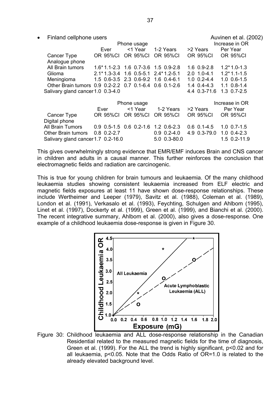• Finland cellphone users Auvinen et al. (2002)

| <b>THIRTIC CONDITIONS</b>                              |          |                                         | $1$ \UVIII\UII \ULUII \LUVL |                          |                    |
|--------------------------------------------------------|----------|-----------------------------------------|-----------------------------|--------------------------|--------------------|
|                                                        |          | Phone usage                             |                             | Increase in OR           |                    |
|                                                        | Ever     | <1 Year                                 | 1-2 Years                   | >2 Years                 | Per Year           |
| Cancer Type                                            | OR 95%CI | <b>OR 95%CI</b>                         | OR 95%CI                    | <b>OR 95%CI</b>          | <b>OR 95%CI</b>    |
| Analogue phone                                         |          |                                         |                             |                          |                    |
| All Brain tumors                                       |          | $1.6*1.1-2.3$ 1.6 0.7-3.6 1.5 0.9-2.8   |                             | $1.6$ 0.9-2.8            | $1.2*1.0-1.3$      |
| Glioma                                                 |          | $2.1*1.3-3.4$ 1.6 0.5-5.1 $2.4*1.2-5.1$ |                             | $2.0$ 1.0-4.1            | $1.2*1.1-1.5$      |
| Meningioma                                             |          | 1.5 0.6-3.5 2.3 0.6-9.2 1.6 0.4-6.1     |                             | $1.0 \t0.2 - 4.4$        | $1.0 \t0.6-1.5$    |
| Other Brain tumors 0.9 0.2-2.2 0.7 0.1-6.4 0.6 0.1-2.6 |          |                                         |                             | $1.4 \text{ } 0.4 - 4.3$ | $1.1 \, 0.8 - 1.4$ |
| Salivary gland cancer 1.0 0.3-4.0                      |          |                                         |                             | 4.4 0.3-71.6             | $1.3 \t0.7 - 2.5$  |
|                                                        |          | Phone usage                             |                             |                          | Increase in OR     |
|                                                        | Ever     | <1 Year                                 | 1-2 Years                   | >2 Years                 | Per Year           |
| Cancer Type                                            |          | OR 95%CI OR 95%CI                       | <b>OR 95%CI</b>             | OR 95%CI                 | <b>OR 95%CI</b>    |
| Digital phone                                          |          |                                         |                             |                          |                    |
| <b>All Brain Tumors</b>                                |          | $0.9$ 0.5-1.5 0.6 0.2-1.6 1.2 0.6-2.3   |                             | $0.6 \cdot 0.1 - 4.5$    | $1.0 \t0.7 - 1.5$  |

This gives overwhelmingly strong evidence that EMR/EMF induces Brain and CNS cancer in children and adults in a causal manner. This further reinforces the conclusion that electromagnetic fields and radiation are carcinogenic.

Other Brain tumors 0.8 0.2-2.7 0.9 0.2-4.0 4.9 0.3-79.0 1.0 0.4-2.3 Salivary gland cancer 1.7 0.2-16.0 5.0 0.3-80.0 1.5 0.2-11.9

This is true for young children for brain tumours and leukaemia. Of the many childhood leukaemia studies showing consistent leukaemia increased from ELF electric and magnetic fields exposures at least 11 have shown dose-response relationships. These include Wertheimer and Leeper (1979), Savitz et al. (1988), Coleman et al. (1989), London et al. (1991), Verkasalo et al. (1993), Feychting, Schulgen and Ahlbom (1995), Linet et al. (1997), Dockerty et al. (1999), Green et al. (1999), and Bianchi et al. (2000). The recent integrative summary, Ahlbom et al. (2000), also gives a dose-response. One example of a childhood leukaemia dose-response is given in Figure 30.



Figure 30: Childhood leukaemia and ALL dose-response relationship in the Canadian Residential related to the measured magnetic fields for the time of diagnosis, Green et al. (1999). For the ALL the trend is highly significant, p<0.02 and for all leukaemia, p<0.05. Note that the Odds Ratio of OR=1.0 is related to the already elevated background level.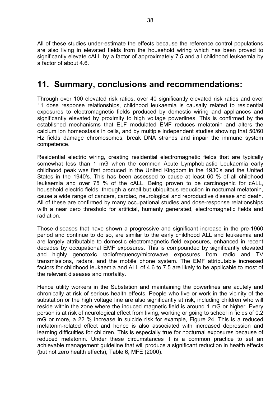All of these studies under-estimate the effects because the reference control populations are also living in elevated fields from the household wiring which has been proved to significantly elevate cALL by a factor of approximately 7.5 and all childhood leukaemia by a factor of about 4.6.

# **11. Summary, conclusions and recommendations:**

Through over 100 elevated risk ratios, over 40 significantly elevated risk ratios and over 11 dose response relationships, childhood leukaemia is causally related to residential exposures to electromagnetic fields produced by domestic wiring and appliances and significantly elevated by proximity to high voltage powerlines. This is confirmed by the established mechanisms that ELF modulated EMF reduces melatonin and alters the calcium ion homeostasis in cells, and by multiple independent studies showing that 50/60 Hz fields damage chromosomes, break DNA strands and impair the immune system competence.

Residential electric wiring, creating residential electromagnetic fields that are typically somewhat less than 1 mG when the common Acute Lymphoblastic Leukaemia early childhood peak was first produced in the United Kingdom in the 1930's and the United States in the 1940's. This has been assessed to cause at least 60 % of all childhood leukaemia and over 75 % of the cALL. Being proven to be carcinogenic for cALL, household electric fields, through a small but ubiquitous reduction in nocturnal melatonin, cause a wide range of cancers, cardiac, neurological and reproductive disease and death. All of these are confirmed by many occupational studies and dose-response relationships with a near zero threshold for artificial, humanly generated, electromagnetic fields and radiation.

Those diseases that have shown a progressive and significant increase in the pre-1960 period and continue to do so, are similar to the early childhood ALL and leukaemia and are largely attributable to domestic electromagnetic field exposures, enhanced in recent decades by occupational EMF exposures. This is compounded by significantly elevated and highly genotoxic radiofrequency/microwave exposures from radio and TV transmissions, radars, and the mobile phone system. The EMF attributable increased factors for childhood leukaemia and ALL of 4.6 to 7.5 are likely to be applicable to most of the relevant diseases and mortality.

Hence utility workers in the Substation and maintaining the powerlines are acutely and chronically at risk of serious health effects. People who live or work in the vicinity of the substation or the high voltage line are also significantly at risk, including children who will reside within the zone where the induced magnetic field is around 1 mG or higher. Every person is at risk of neurological effect from living, working or going to school in fields of 0.2 mG or more, a 22 % increase in suicide risk for example, Figure 24. This is a reduced melatonin-related effect and hence is also associated with increased depression and learning difficulties for children. This is especially true for nocturnal exposures because of reduced melatonin. Under these circumstances it is a common practice to set an achievable management guideline that will produce a significant reduction in health effects (but not zero health effects), Table 6, MFE (2000).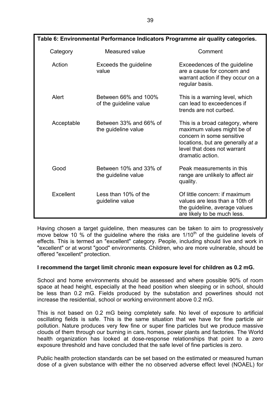| Table 6. Environmental Periormance indicators Programme air quality categories. |                                                |                                                                                                                                                                                    |  |  |  |  |  |
|---------------------------------------------------------------------------------|------------------------------------------------|------------------------------------------------------------------------------------------------------------------------------------------------------------------------------------|--|--|--|--|--|
| Category                                                                        | Measured value                                 | Comment                                                                                                                                                                            |  |  |  |  |  |
| Action                                                                          | Exceeds the guideline<br>value                 | Exceedences of the guideline<br>are a cause for concern and<br>warrant action if they occur on a<br>regular basis.                                                                 |  |  |  |  |  |
| Alert                                                                           | Between 66% and 100%<br>of the guideline value | This is a warning level, which<br>can lead to exceedences if<br>trends are not curbed.                                                                                             |  |  |  |  |  |
| Acceptable                                                                      | Between 33% and 66% of<br>the guideline value  | This is a broad category, where<br>maximum values might be of<br>concern in some sensitive<br>locations, but are generally at a<br>level that does not warrant<br>dramatic action. |  |  |  |  |  |
| Good                                                                            | Between 10% and 33% of<br>the guideline value  | Peak measurements in this<br>range are unlikely to affect air<br>quality.                                                                                                          |  |  |  |  |  |
| Excellent                                                                       | Less than 10% of the<br>guideline value        | Of little concern: if maximum<br>values are less than a 10th of<br>the guideline, average values<br>are likely to be much less.                                                    |  |  |  |  |  |

Having chosen a target guideline, then measures can be taken to aim to progressively move below 10 % of the guideline where the risks are 1/10<sup>th</sup> of the guideline levels of effects. This is termed an "excellent" category. People, including should live and work in "excellent" or at worst "good" environments. Children, who are more vulnerable, should be offered "excellent" protection.

#### **I recommend the target limit chronic mean exposure level for children as 0.2 mG.**

School and home environments should be assessed and where possible 90% of room space at head height, especially at the head position when sleeping or in school, should be less than 0.2 mG. Fields produced by the substation and powerlines should not increase the residential, school or working environment above 0.2 mG.

This is not based on 0.2 mG being completely safe. No level of exposure to artificial oscillating fields is safe. This is the same situation that we have for fine particle air pollution. Nature produces very few fine or super fine particles but we produce massive clouds of them through our burning in cars, homes, power plants and factories. The World health organization has looked at dose-response relationships that point to a zero exposure threshold and have concluded that the safe level of fine particles is zero.

Public health protection standards can be set based on the estimated or measured human dose of a given substance with either the no observed adverse effect level (NOAEL) for

**Table 6: Environmental Performance Indicators Programme air quality categories.**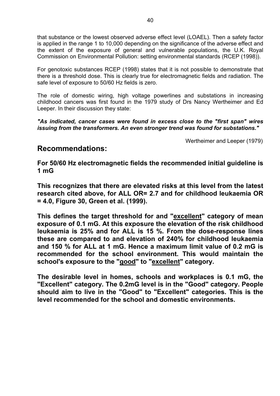that substance or the lowest observed adverse effect level (LOAEL). Then a safety factor is applied in the range 1 to 10,000 depending on the significance of the adverse effect and the extent of the exposure of general and vulnerable populations, the U.K. Royal Commission on Environmental Pollution: setting environmental standards (RCEP (1998)).

For genotoxic substances RCEP (1998) states that it is not possible to demonstrate that there is a threshold dose. This is clearly true for electromagnetic fields and radiation. The safe level of exposure to 50/60 Hz fields is zero.

The role of domestic wiring, high voltage powerlines and substations in increasing childhood cancers was first found in the 1979 study of Drs Nancy Wertheimer and Ed Leeper. In their discussion they state:

*"As indicated, cancer cases were found in excess close to the "first span" wires issuing from the transformers. An even stronger trend was found for substations."* 

Wertheimer and Leeper (1979)

### **Recommendations:**

**For 50/60 Hz electromagnetic fields the recommended initial guideline is 1 mG** 

**This recognizes that there are elevated risks at this level from the latest research cited above, for ALL OR= 2.7 and for childhood leukaemia OR = 4.0, Figure 30, Green et al. (1999).** 

**This defines the target threshold for and "excellent" category of mean exposure of 0.1 mG. At this exposure the elevation of the risk childhood leukaemia is 25% and for ALL is 15 %. From the dose-response lines these are compared to and elevation of 240% for childhood leukaemia and 150 % for ALL at 1 mG. Hence a maximum limit value of 0.2 mG is recommended for the school environment. This would maintain the school's exposure to the "good" to "excellent" category.** 

**The desirable level in homes, schools and workplaces is 0.1 mG, the "Excellent" category. The 0.2mG level is in the "Good" category. People should aim to live in the "Good" to "Excellent" categories. This is the level recommended for the school and domestic environments.**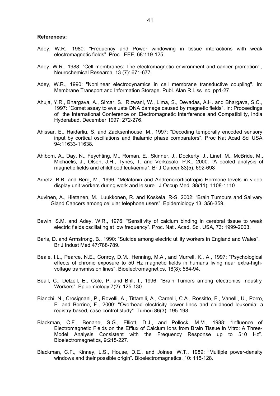#### **References:**

- Adey, W.R., 1980: "Frequency and Power windowing in tissue interactions with weak electromagnetic fields". Proc. IEEE, 68:119-125.
- Adey, W.R., 1988: "Cell membranes: The electromagnetic environment and cancer promotion"., Neurochemical Research, 13 (7): 671-677.
- Adey, W.R., 1990: "Nonlinear electrodynamics in cell membrane transductive coupling". In: Membrane Transport and Information Storage. Publ. Alan R Liss Inc. pp1-27.
- Ahuja, Y.R., Bhargava, A., Sircar, S., Rizwani, W., Lima, S., Devadas, A.H. and Bhargava, S.C., 1997: "Comet assay to evaluate DNA damage caused by magnetic fields". In: Proceedings of the International Conference on Electromagnetic Interference and Compatibility, India Hyderabad, December 1997: 272-276.
- Ahissar, E., Haidarliu, S. and Zacksenhouse, M., 1997: "Decoding temporally encoded sensory input by cortical oscillations and thalamic phase comparators". Proc Nat Acad Sci USA 94:11633-11638.
- Ahlbom, A., Day, N., Feychting, M., Roman, E., Skinner, J., Dockerty, J., Linet, M., McBride, M., Michaelis, J., Olsen, J.H., Tynes, T. and Verkasalo, P.K., 2000: "A pooled analysis of magnetic fields and childhood leukaemia". Br J Cancer 83(5): 692-698
- Arnetz, B.B. and Berg, M., 1996: "Melatonin and Andrenocorticotropic Hormone levels in video display unit workers during work and leisure. J Occup Med 38(11): 1108-1110.
- Auvinen, A., Hietanen, M., Luukkonen, R. and Koskela, R-S, 2002: "Brain Tumours and Salivary Gland Cancers among cellular telephone users". Epidemiology 13: 356-359.
- Bawin, S.M. and Adey, W.R., 1976: "Sensitivity of calcium binding in cerebral tissue to weak electric fields oscillating at low frequency". Proc. Natl. Acad. Sci. USA, 73: 1999-2003.
- Baris, D. and Armstrong, B., 1990: "Suicide among electric utility workers in England and Wales". Br J Indust Med 47:788-789.
- Beale, I.L., Pearce, N.E., Conroy, D.M., Henning, M.A., and Murrell, K., A., 1997: "Psychological effects of chronic exposure to 50 Hz magnetic fields in humans living near extra-highvoltage transmission lines". Bioelectromagnetics, 18(8): 584-94.
- Beall, C., Delzell, E., Cole, P. and Brill, I., 1996: "Brain Tumors among electronics Industry Workers". Epidemiology 7(2): 125-130.
- Bianchi, N., Crosignani, P., Rovelli, A., Tittarelli, A., Carnelli, C.A., Rossitto, F., Vanelli, U., Porro, E. and Berrino, F., 2000: "Overhead electricity power lines and childhood leukemia: a registry-based, case-control study". Tumori 86(3): 195-198.
- Blackman, C.F., Benane, S.G., Elliott, D.J., and Pollock, M.M., 1988: "Influence of Electromagnetic Fields on the Efflux of Calcium Ions from Brain Tissue in Vitro: A Three-Model Analysis Consistent with the Frequency Response up to 510 Hz". Bioelectromagnetics, 9:215-227.
- Blackman, C.F., Kinney, L.S., House, D.E., and Joines, W.T., 1989: "Multiple power-density windows and their possible origin". Bioelectromagnetics, 10: 115-128.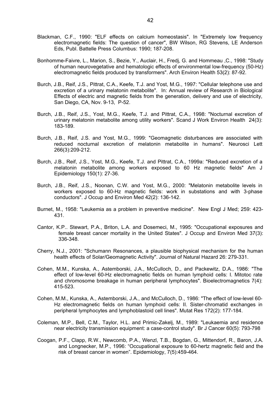- Blackman, C.F., 1990: "ELF effects on calcium homeostasis". In "Extremely low frequency electromagnetic fields: The question of cancer", BW Wilson, RG Stevens, LE Anderson Eds, Publ. Battelle Press Columbus: 1990; 187-208.
- Bonhomme-Faivre, L., Marion, S., Bezie, Y., Auclair, H., Fredj, G. and Hommeau ,C., 1998: "Study of human neurovegetative and hematologic effects of environmental low-frequency (50-Hz) electromagnetic fields produced by transformers". Arch Environ Health 53(2): 87-92.
- Burch, J.B., Reif, J.S., Pittrat, C.A., Keefe, T.J. and Yost, M.G., 1997: "Cellular telephone use and excretion of a urinary melatonin metabolite". In: Annual review of Research in Biological Effects of electric and magnetic fields from the generation, delivery and use of electricity, San Diego, CA, Nov. 9-13, P-52.
- Burch, J.B., Reif, J.S., Yost, M.G., Keefe, T.J. and Pittrat, C.A., 1998: "Nocturnal excretion of urinary melatonin metabolite among utility workers". Scand J Work Environ Health 24(3): 183-189.
- Burch, J.B., Reif, J.S. and Yost, M.G., 1999: "Geomagnetic disturbances are associated with reduced nocturnal excretion of melatonin metabolite in humans". Neurosci Lett 266(3):209-212.
- Burch, J.B., Reif, J.S., Yost, M.G., Keefe, T.J. and Pittrat, C.A., 1999a: "Reduced excretion of a melatonin metabolite among workers exposed to 60 Hz magnetic fields" Am J Epidemiology 150(1): 27-36.
- Burch, J.B., Reif, J.S., Noonan, C.W. and Yost, M.G., 2000: "Melatonin metabolite levels in workers exposed to 60-Hz magnetic fields: work in substations and with 3-phase conductors". J Occup and Environ Med 42(2): 136-142.
- Burnet, M., 1958: "Leukemia as a problem in preventive medicine". New Engl J Med; 259: 423- 431.
- Cantor, K.P.. Stewart, P.A., Briton, L.A. and Dosemeci, M., 1995: "Occupational exposures and female breast cancer mortality in the United States". J Occup and Environ Med 37(3): 336-348.
- Cherry, N.J., 2001: "Schumann Resonances, a plausible biophysical mechanism for the human health effects of Solar/Geomagnetic Activity". Journal of Natural Hazard 26: 279-331.
- Cohen, M.M., Kunska, A., Astemborski, J.A., McCulloch, D., and Packewitz, D.A., 1986: "The effect of low-level 60-Hz electromagnetic fields on human lymphoid cells: I. Mitotoc rate and chromosome breakage in human peripheral lymphocytes". Bioelectromagnetics 7(4): 415-523.
- Cohen, M.M., Kunska, A., Astemborski, J.A., and McCulloch, D., 1986: "The effect of low-level 60- Hz electromagnetic fields on human lymphoid cells: II. Sister-chromatid exchanges in peripheral lymphocytes and lymphoblastoid cell lines". Mutat Res 172(2): 177-184.
- Coleman, M.P., Bell, C.M., Taylor, H.L. and Primic-Zakelj, M., 1989: "Leukaemia and residence near electricity transmission equipment: a case-control study". Br J Cancer 60(5): 793-798
- Coogan, P.F., Clapp, R.W., Newcomb, P.A., Wenzl, T.B., Bogdan, G., Mittendorf, R., Baron, J.A. and Longnecker, M.P., 1996: "Occupational exposure to 60-hertz magnetic field and the risk of breast cancer in women". Epidemiology, 7(5):459-464.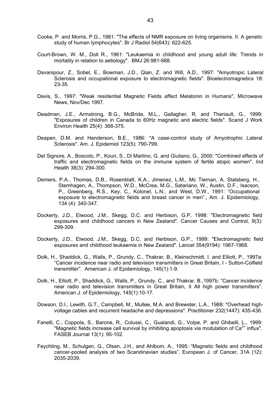- Cooke, P. and Morris, P.G., 1981: "The effects of NMR exposure on living organisms. II. A genetic study of human lymphocytes". Br J Radiol 54(643): 622-625.
- Court-Brown, W. M., Doll R., 1961: "Leukaemia in childhood and young adult life: Trends in mortality in relation to aetiology". BMJ 26:981-988.
- Davanipour, Z., Sobel, E., Bowman, J.D., Qian, Z. and Will, A.D., 1997: "Amyotropic Lateral Sclerosis and occupational exposure to electromagnetic fields". Bioelectromagnetics 18: 23-35.
- Davis, S., 1997: "Weak residential Magnetic Fields affect Melatonin in Humans", Microwave News, Nov/Dec 1997.
- Deadman, J.E., Armstrong, B.G., McBride, M.L., Gallagher, R. and Theriault, G., 1999: "Exposures of children in Canada to 60Hz magnetic and electric fields". Scand J Work Environ Health 25(4): 368-375.
- Deapen, D.M. and Henderson, B.E., 1986: "A case-control study of Amyotrophic Lateral Sclerosis". Am. J. Epidemiol 123(5): 790-799.
- Del Signore, A., Boscolo, P., Kouri, S., Di Martino, G. and Giuliano, G., 2000: "Combined effects of traffic and electromagnetic fields on the immune system of fertile atopic women". Ind Health 38(3): 294-300.
- Demers, P.A., Thomas, D.B., Rosenblatt, K.A., Jimenez, L.M., Mc Tiernan, A, Stalsberg, H., Stemhagen, A., Thompson, W.D., McCrea, M.G., Satariano, W., Austin, D.F., Isacson, P., Greenberg, R.S., Key, C., Kolonel, L.N., and West, D.W., 1991: "Occupational exposure to electromagnetic fields and breast cancer in men"., Am. J. Epidemiology, 134 (4): 340-347.
- Dockerty, J.D., Elwood, J.M., Skegg, D.C. and Herbison, G.P, 1998: "Electromagnetic field exposures and childhood cancers in New Zealand". Cancer Causes and Control, 9(3): 299-309.
- Dockerty, J.D., Elwood, J.M., Skegg, D.C. and Herbison, G.P., 1999: "Electromagnetic field exposures and childhood leukaemia in New Zealand". Lancet 354(9194): 1967-1968.
- Dolk, H., Shaddick, G., Walls, P., Grundy, C., Thakrar, B., Kleinschmidt, I. and Elliott, P., 1997a: "Cancer incidence near radio and television transmitters in Great Britain, I - Sutton-Colfield transmitter". American J. of Epidemiology, 145(1):1-9.
- Dolk, H., Elliott, P., Shaddick, G., Walls, P., Grundy, C., and Thakrar, B.,1997b: "Cancer incidence near radio and television transmitters in Great Britain, II All high power transmitters". American J. of Epidemiology, 145(1):10-17.
- Dowson, D.I., Lewith, G.T., Campbell, M., Mullee, M.A. and Brewster, L.A., 1988: "Overhead highvoltage cables and recurrent headache and depressions". Practitioner 232(1447): 435-436.
- Fanelli, C., Coppola, S., Barone, R., Colussi, C., Gualandi, G., Volpe, P. and Ghibelli, L., 1999: "Magnetic fields increase cell survival by inhibiting apoptosis via modulation of  $Ca^{2+}$  influx". FASEB Journal 13(1): 95-102.
- Feychting, M., Schulgen, G., Olsen, J.H., and Ahlbom, A., 1995: "Magnetic fields and childhood cancer-pooled analysis of two Scandinavian studies". European J. of Cancer, 31A (12): 2035-2039.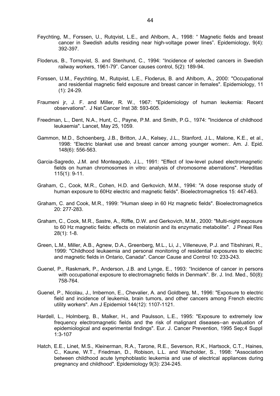- Feychting, M., Forssen, U., Rutqvist, L.E., and Ahlbom, A., 1998: " Magnetic fields and breast cancer in Swedish adults residing near high-voltage power lines". Epidemiology, 9(4): 392-397.
- Floderus, B., Tornqvist, S. and Stenhund, C., 1994: "Incidence of selected cancers in Swedish railway workers, 1961-79". Cancer causes control, 5(2): 189-94.
- Forssen, U.M., Feychting, M., Rutqvist, L.E., Floderus, B. and Ahlbom, A., 2000: "Occupational and residential magnetic field exposure and breast cancer in females". Epidemiology, 11 (1): 24-29.
- Fraumeni jr, J. F. and Miller, R. W., 1967: "Epidemiology of human leukemia: Recent observations". J Nat Cancer Inst 38: 593-605.
- Freedman, L., Dent, N.A., Hunt, C., Payne, P.M. and Smith, P.G., 1974: "Incidence of childhood leukaemia". Lancet, May 25, 1059.
- Gammon, M.D., Schoenberg, J.B., Britton, J.A., Kelsey, J.L., Stanford, J.L., Malone, K.E., et al., 1998: "Electric blanket use and breast cancer among younger women:. Am. J. Epid. 148(6): 556-563.
- Garcia-Sagredo, J.M. and Monteagudo, J.L., 1991: "Effect of low-level pulsed electromagnetic fields on human chromosomes in vitro: analysis of chromosome aberrations". Hereditas 115(1): 9-11.
- Graham, C., Cook, M.R., Cohen, H.D. and Gerkovich, M.M., 1994: "A dose response study of human exposure to 60Hz electric and magnetic fields". Bioelectromagnetics 15: 447-463.
- Graham, C. and Cook, M.R., 1999: "Human sleep in 60 Hz magnetic fields". Bioelectromagnetics 20: 277-283.
- Graham, C., Cook, M.R., Sastre, A., Riffle, D.W. and Gerkovich, M.M., 2000: "Multi-night exposure to 60 Hz magnetic fields: effects on melatonin and its enzymatic metabolite". J Pineal Res 28(1): 1-8.
- Green, L.M., Miller, A.B., Agnew, D.A., Greenberg, M.L., Li, J., Villeneuve, P.J. and Tibshirani, R., 1999: "Childhood leukaemia and personal monitoring of residential exposures to electric and magnetic fields in Ontario, Canada". Cancer Cause and Control 10: 233-243.
- Guenel, P., Raskmark, P., Anderson, J.B. and Lynge, E., 1993: "Incidence of cancer in persons with occupational exposure to electromagnetic fields in Denmark". Br. J. Ind. Med., 50(8): 758-764.
- Guenel, P., Nicolau, J., Imbernon, E., Chevalier, A. and Goldberg, M., 1996: "Exposure to electric field and incidence of leukemia, brain tumors, and other cancers among French electric utility workers". Am J Epidemiol 144(12): 1107-1121.
- Hardell, L., Holmberg, B., Malker, H., and Paulsson, L.E., 1995: "Exposure to extremely low frequency electromagnetic fields and the risk of malignant diseases--an evaluation of epidemiological and experimental findings". Eur. J. Cancer Prevention, 1995 Sep;4 Suppl 1:3-107
- Hatch, E.E., Linet, M.S., Kleinerman, R.A., Tarone, R.E., Severson, R.K., Hartsock, C.T., Haines, C., Kaune, W.T., Friedman, D., Robison, L.L. and Wacholder, S., 1998: "Association between childhood acute lymphoblastic leukemia and use of electrical appliances during pregnancy and childhood". Epidemiology 9(3): 234-245.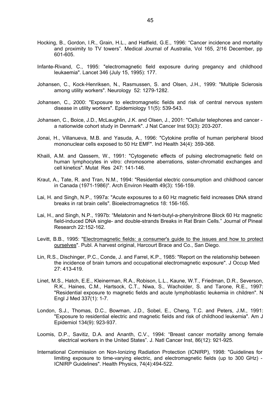- Hocking, B., Gordon, I.R., Grain, H.L., and Hatfield, G.E., 1996: "Cancer incidence and mortality and proximity to TV towers". Medical Journal of Australia, Vol 165, 2/16 December, pp 601-605.
- Infante-Rivand, C., 1995: "electromagnetic field exposure during pregancy and childhood leukaemia". Lancet 346 (July 15, 1995): 177.
- Johansen, C., Kock-Henriksen, N., Rasmussen, S. and Olsen, J.H., 1999: "Multiple Sclerosis among utility workers". Neurology 52: 1279-1282.
- Johansen, C., 2000: "Exposure to electromagnetic fields and risk of central nervous system disease in utility workers". Epidemiology 11(5): 539-543.
- Johansen, C., Boice, J.D., McLaughlin, J.K. and Olsen, J., 2001: "Cellular telephones and cancer a nationwide cohort study in Denmark". J Nat Cancer Inst 93(3): 203-207.
- Jonai, H., Villanueva, M.B. and Yasuda, A., 1996: "Cytokine profile of human peripheral blood mononuclear cells exposed to 50 Hz EMF". Ind Health 34(4): 359-368.
- Khaili, A.M. and Qassem, W., 1991: "Cytogenetic effects of pulsing electromagnetic field on human lymphocytes in vitro: chromosome aberrations, sister-chromatid exchanges and cell kinetics". Mutat Res 247: 141-146.
- Kraut, A., Tate, R. and Tran, N.M., 1994: "Residential electric consumption and childhood cancer in Canada (1971-1986)". Arch Environ Health 49(3): 156-159.
- Lai, H. and Singh, N.P., 1997a: "Acute exposures to a 60 Hz magnetic field increases DNA strand breaks in rat brain cells". Bioelectromagnetics 18: 156-165.
- Lai, H., and Singh, N.P., 1997b: "Melatonin and N-tert-butyl-a-phenylnitrone Block 60 Hz magnetic field-induced DNA single- and double-strands Breaks in Rat Brain Cells." Journal of Pineal Research 22:152-162.
- Levitt, B.B., 1995: "Electromagnetic fields: a consumer's guide to the issues and how to protect ourselves". Publ. A harvest original, Harcourt Brace and Co., San Diego.
- Lin, R.S., Dischinger, P.C., Conde, J. and Farrel, K.P., 1985: "Report on the relationship between the incidence of brain tumors and occupational electromagnetic exposure". J Occup Med 27: 413-419.
- Linet, M.S., Hatch, E.E., Kleinerman, R.A., Robison, L.L., Kaune, W.T., Friedman, D.R., Severson, R.K., Haines, C.M., Hartsock, C.T., Niwa, S., Wacholder, S. and Tarone, R.E., 1997: "Residential exposure to magnetic fields and acute lymphoblastic leukemia in children". N Engl J Med 337(1): 1-7.
- London, S.J., Thomas, D.C., Bowman, J.D., Sobel, E., Cheng, T.C. and Peters, J.M., 1991: "Exposure to residential electric and magnetic fields and risk of childhood leukemia". Am J Epidemiol 134(9): 923-937.
- Loomis, D.P., Savitiz, D.A. and Ananth, C.V., 1994: "Breast cancer mortality among female electrical workers in the United States". J. Natl Cancer Inst, 86(12): 921-925.
- International Commission on Non-Ionizing Radiation Protection (ICNIRP), 1998: "Guidelines for limiting exposure to time-varying electric, and electromagnetic fields (up to 300 GHz) - ICNIRP Guidelines". Health Physics, 74(4):494-522.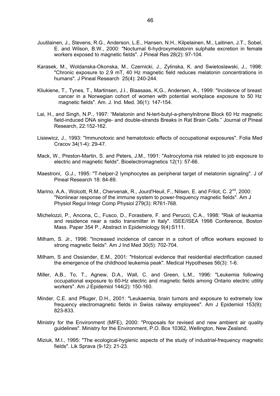- Juutilainen, J., Stevens, R.G., Anderson, L.E., Hansen, N.H., Kilpelainen, M., Laitinen, J.T., Sobel, E. and Wilson, B.W., 2000: "Nocturnal 6-hydroxymelatonin sulphate excretion in female workers exposed to magnetic fields". J Pineal Res 28(2): 97-104.
- Karasek, M., Woldanska-Okonska, M., Czernicki, J., Zylinska, K. and Swietoslawski, J., 1998: "Chronic exposure to 2.9 mT, 40 Hz magnetic field reduces melatonin concentrations in humans". J Pineal Research 25(4): 240-244.
- Kliukiene, T., Tynes, T., Martinsen, J.I., Blaasaas, K,G., Andersen, A., 1999: "Incidence of breast cancer in a Norwegian cohort of women with potential workplace exposure to 50 Hz magnetic fields". Am. J. Ind. Med. 36(1): 147-154.
- Lai, H., and Singh, N.P., 1997: "Melatonin and N-tert-butyl-a-phenylnitrone Block 60 Hz magnetic field-induced DNA single- and double-strands Breaks in Rat Brain Cells." Journal of Pineal Research, 22:152-162.
- Lisiewicz, J., 1993: "Immunotoxic and hematotoxic effects of occupational exposures". Folia Med Cracov 34(1-4): 29-47.
- Mack, W., Preston-Martin, S. and Peters, J.M., 1991: "Astrocytoma risk related to job exposure to electric and magnetic fields". Bioelectromagnetics 12(1): 57-66.
- Maestroni, G.J., 1995: "T-helper-2 lymphocytes as peripheral target of melatonin signaling". J of Pineal Research 18: 84-89.
- Marino, A.A., Wolcott, R.M., Chervenak, R., Jourd'Heuil, F., Nilsen, E. and Frilot, C.  $2^{nd}$ , 2000: "Nonlinear response of the immune system to power-frequency magnetic fields". Am J Physiol Regul Integr Comp Physiol 279(3): R761-768.
- Michelozzi, P., Ancona, C., Fusco, D., Forastiere, F. and Perucci, C.A., 1998: "Risk of leukamia and residence near a radio transmitter in Italy". ISEE/ISEA 1998 Conference, Boston Mass. Paper 354 P., Abstract in Epidemiology 9(4):S111.
- Milham, S. Jr., 1996: "Increased incidence of cancer in a cohort of office workers exposed to strong magnetic fields". Am J Ind Med 30(5): 702-704.
- Milham, S and Ossiander, E.M., 2001: "Historical evidence that residential electrification caused the emergence of the childhood leukemia peak". Medical Hypotheses 56(3): 1-6.
- Miller, A.B., To, T., Agnew, D.A., Wall, C. and Green, L.M., 1996: "Leukemia following occupational exposure to 60-Hz electric and magnetic fields among Ontario electric utility workers". Am J Epidemiol 144(2): 150-160.
- Minder, C.E. and Pfluger, D.H., 2001: "Leukaemia, brain tumors and exposure to extremely low frequency electromagnetic fields in Swiss railway employees". Am J Epidemiol 153(9): 823-833.
- Ministry for the Environment (MFE), 2000: "Proposals for revised and new ambient air quality guidelines". Ministry for the Environment, P.O. Box 10362, Wellington, New Zealand.
- Miziuk, M.I., 1995: "The ecological-hygienic aspects of the study of industrial-frequency magnetic fields". Lik Sprava (9-12): 21-23.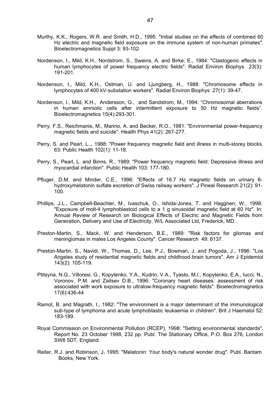- Murthy, K.K., Rogers, W.R. and Smith, H.D., 1995: "Initial studies on the effects of combined 60 Hz electric and magnetic field exposure on the immune system of non-human primates". Bioelectromagnetics Suppl 3: 93-102.
- Nordenson, I., Mild, K.H., Nordstrom, S., Sweins, A. and Birke, E., 1984: "Clastogenic effects in human lymphocytes of power frequency electric fields". Radiat Environ Biophys 23(3): 191-201.
- Nordenson, I., Mild, K.H., Ostman, U. and Ljungberg, H., 1988: "Chromosome effects in lymphocytes of 400 kV-substation workers". Radiat Environ Biophys 27(1): 39-47.
- Nordenson, I., Mild, K.H., Andersson, G., and Sandstrom, M., 1994: "Chromosomal aberrations in human amniotic cells after intermittent exposure to 50 Hz magnetic fields". Bioelectromagnetics 15(4):293-301.
- Perry, F.S., Reichmanis, M., Marino, A. and Becker, R.O., 1981: "Environmental power-frequency magnetic fields and suicide". Health Phys 41(2): 267-277.
- Perry, S. and Pearl, L.., 1988: "Power frequency magnetic field and illness in multi-storey blocks. 63: Public Health 102(1): 11-18.
- Perry, S., Pearl, L. and Binns, R., 1989: "Power frequency magnetic field: Depressive illness and myocardial infarction". Public Health 103: 177-180.
- Pfluger, D.M. and Minder, C.E., 1996: "Effects of 16.7 Hz magnetic fields on urinary 6 hydroxymelatonin sulfate excretion of Swiss railway workers". J Pineal Research 21(2): 91- 100.
- Phillips, J.L., Campbell-Beachler, M., Ivaschuk, O., Ishida-Jones, T. and Haggnen, W., 1998: "Exposure of molt-4 lymphoblastoid cells to a 1 g sinusoidal magnetic field at 60 Hz". In: Annual Review of Research on Biological Effects of Electric and Magnetic Fields from Generation, Delivery and Use of Electricity, W/L Associated Ltd, Frederick, MD.
- Preston-Martin, S., Mack, W. and Henderson, B.E., 1989: "Risk factors for gliomas and meningiomas in males Los Angeles County". Cancer Research 49: 6137.
- Preston-Martin, S., Navidi, W., Thomas, D., Lee, P.J., Bowman, J. and Pogoda, J., 1996: "Los Angeles study of residential magnetic fields and childhood brain tumors". Am J Epidemiol 143(2): 105-119.
- Ptitsyna, N.G., Villoresi, G., Kopytenko, Y.A., Kudrin, V.A., Tyasto, M.I., Kopytenko, E.A., Iucci, N., Voronov, P.M. and Zaitsev D.B., 1996: "Coronary heart diseases: assessment of risk associated with work exposure to ultralow-frequency magnetic fields". Bioelectromagnetics 17(6):436-44
- Ramot, B. and Magrath, I., 1982: "The environment is a major determinant of the immunological sub-type of lymphoma and acute lymphoblastic leukaemia in children". Brit J Haematol 52: 183-189.
- Royal Commission on Environmental Pollution (RCEP), 1998: "Setting environmental standards". Report No. 23 October 1998, 232 pp. Publ. The Stationary Office, P.O. Box 276, London SW8 5DT, England.
- Reiter, R.J. and Robinson, J, 1995: "Melatonin: Your body's natural wonder drug". Publ. Bantam Books, New York.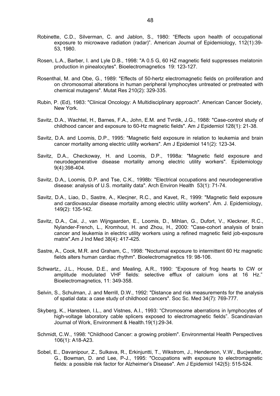- Robinette, C.D., Silverman, C. and Jablon, S., 1980: "Effects upon health of occupational exposure to microwave radiation (radar)". American Journal of Epidemiology, 112(1):39- 53, 1980.
- Rosen, L.A., Barber, I. and Lyle D.B., 1998: "A 0.5 G, 60 HZ magnetic field suppresses melatonin production in pinealocytes". Bioelectromagnetics 19: 123-127.
- Rosenthal, M. and Obe, G., 1989: "Effects of 50-hertz electromagnetic fields on proliferation and on chromosomal alterations in human peripheral lymphocytes untreated or pretreated with chemical mutagens". Mutat Res 210(2): 329-335.
- Rubin, P. (Ed), 1983: "Clinical Oncology: A Multidisciplinary approach". American Cancer Society, New York.
- Savitz, D.A., Wachtel, H., Barnes, F.A., John, E.M. and Tvrdik, J.G., 1988: "Case-control study of childhood cancer and exposure to 60-Hz magnetic fields". Am J Epidemiol 128(1): 21-38.
- Savitz, D.A. and Loomis, D.P., 1995: "Magnetic field exposure in relation to leukemia and brain cancer mortality among electric utility workers". Am J Epidemiol 141(2): 123-34.
- Savitz, D.A., Checkoway, H. and Loomis, D.P., 1998a: "Magnetic field exposure and neurodegenerative disease mortality among electric utility workers". Epidemiology 9(4):398-404.
- Savitz, D.A,, Loomis, D.P. and Tse, C.K., 1998b: "Electrical occupations and neurodegenerative disease: analysis of U.S. mortality data". Arch Environ Health 53(1): 71-74.
- Savitz, D.A., Liao, D., Sastre, A., Klecjner, R.C., and Kavet, R., 1999: "Magnetic field exposure and cardiovascular disease mortality among electric utility workers". Am. J. Epidemiology, 149(2): 135-142.
- Savitz, D.A., Cai, J., van Wijngaarden, E., Loomis, D., Mihlan, G., Dufort, V., Kleckner, R.C., Nylander-French, L., Kromhout, H. and Zhou, H., 2000: "Case-cohort analysis of brain cancer and leukemia in electric utility workers using a refined magnetic field job-exposure matrix".Am J Ind Med 38(4): 417-425.
- Sastre, A., Cook, M.R. and Graham, C., 1998: "Nocturnal exposure to intermittent 60 Hz magnetic fields alters human cardiac rhythm". Bioelectromagnetics 19: 98-106.
- Schwartz,, J.L., House, D.E., and Mealing, A.R., 1990: "Exposure of frog hearts to CW or amplitude modulated VHF fields: selective efflux of calcium ions at 16 Hz." Bioelectromagnetics, 11: 349-358.
- Selvin, S., Schulman, J. and Merrill, D.W., 1992: "Distance and risk measurements for the analysis of spatial data: a case study of childhood cancers". Soc Sc. Med 34(7): 769-777.
- Skyberg, K., Hansteen, I.L., and Vistnes, A.I., 1993: "Chromosome aberrations in lymphocytes of high-voltage laboratory cable splicers exposed to electromagnetic fields". Scandinavian Journal of Work, Environment & Health.19(1):29-34.
- Schmidt, C.W., 1998: "Childhood Cancer: a growing problem". Environmental Health Perspectives 106(1): A18-A23.
- Sobel, E., Davanipour, Z., Sulkava, R., Erkinjuntti, T., Wikstrom, J., Henderson, V.W., Bucjwalter, G., Bowman, D. and Lee, P-J., 1995: "Occupations with exposure to electromagnetic fields: a possible risk factor for Alzheimer's Disease". Am J Epidemiol 142(5): 515-524.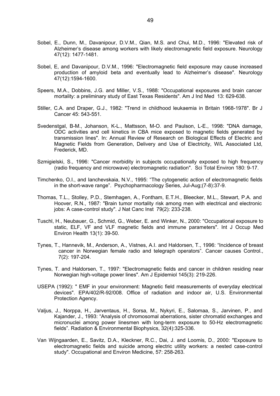- Sobel, E., Dunn, M., Davanipour, D.V.M., Qian, M.S. and Chui, M.D., 1996: "Elevated risk of Alzheimer's disease among workers with likely electromagnetic field exposure. Neurology 47(12): 1477-1481.
- Sobel, E, and Davanipour, D.V.M., 1996: "Electromagnetic field exposure may cause increased production of amyloid beta and eventually lead to Alzheimer's disease". Neurology 47(12):1594-1600.
- Speers, M.A., Dobbins, J.G. and Miller, V.S., 1988: "Occupational exposures and brain cancer mortality: a preliminary study of East Texas Residents". Am J Ind Med 13: 629-638.
- Stiller, C.A. and Draper, G.J., 1982: "Trend in childhood leukaemia in Britain 1968-1978". Br J Cancer 45: 543-551.
- Svedenstgal, B-M., Johanson, K-L., Mattsson, M-O. and Paulson, L-E., 1998: "DNA damage, ODC activities and cell kinetics in CBA mice exposed to magnetic fields generated by transmission lines". In: Annual Review of Research on Biological Effects of Electric and Magnetic Fields from Generation, Delivery and Use of Electricity, W/L Associated Ltd, Frederick, MD.
- Szmigielski, S., 1996: "Cancer morbidity in subjects occupationally exposed to high frequency (radio frequency and microwave) electromagnetic radiation". Sci Total Environ 180: 9-17.
- Timchenko, O.I., and Ianchevskaia, N.V., 1995: "The cytogenetic action of electromagnetic fields in the short-wave range". Psychopharmacology Series, Jul-Aug;(7-8):37-9.
- Thomas, T.L., Stolley, P.D., Stemhagen, A., Fontham, E.T.H., Bleecker, M.L., Stewart, P.A. and Hoover, R.N., 1987: "Brain tumor mortality risk among men with electrical and electronic jobs: A case-control study". J Nat Canc Inst 79(2): 233-238.
- Tuschl, H., Neubauer, G., Schmid, G., Weber, E. and Winker, N., 2000: "Occupational exposure to static, ELF, VF and VLF magnetic fields and immune parameters". Int J Occup Med Environ Health 13(1): 39-50.
- Tynes, T., Hannevik, M., Anderson, A., Vistnes, A.I. and Haldorsen, T., 1996: "Incidence of breast cancer in Norwegian female radio and telegraph operators". Cancer causes Control., 7(2): 197-204.
- Tynes, T. and Haldorsen, T., 1997: "Electromagnetic fields and cancer in children residing near Norwegian high-voltage power lines". Am J Epidemiol 145(3): 219-226.
- USEPA (1992): " EMF in your environment: Magnetic field measurements of everyday electrical devices". EPA/402/R-92/008. Office of radiation and indoor air, U.S. Environmental Protection Agency.
- Valjus, J., Norppa, H., Jarventaus, H., Sorsa, M., Nykyri, E., Salomaa, S., Jarvinen, P., and Kajander, J., 1993: "Analysis of chromosomal aberrations, sister chromatid exchanges and micronuclei among power linesmen with long-term exposure to 50-Hz electromagnetic fields". Radiation & Environmental Biophysics, 32(4):325-336.
- Van Wijngaarden, E., Savitz, D.A., Kleckner, R.C., Dai, J. and Loomis, D., 2000: "Exposure to electromagnetic fields and suicide among electric utility workers: a nested case-control study". Occupational and Environ Medicine, 57: 258-263.